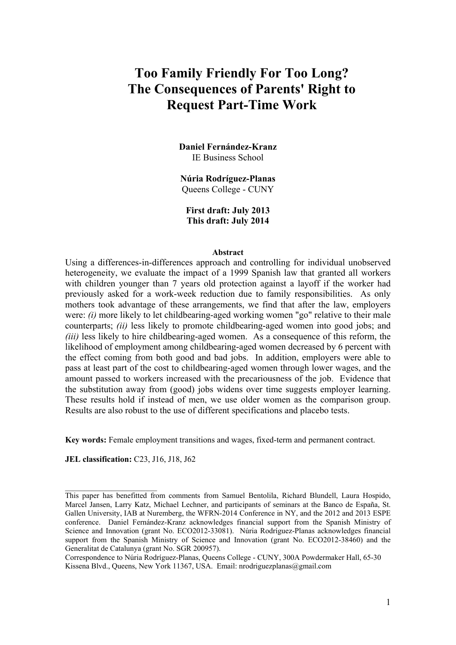# **Too Family Friendly For Too Long? The Consequences of Parents' Right to Request Part-Time Work**

**Daniel Fernández-Kranz**  IE Business School

**Núria Rodríguez-Planas**  Queens College - CUNY

**First draft: July 2013 This draft: July 2014** 

#### **Abstract**

Using a differences-in-differences approach and controlling for individual unobserved heterogeneity, we evaluate the impact of a 1999 Spanish law that granted all workers with children younger than 7 years old protection against a layoff if the worker had previously asked for a work-week reduction due to family responsibilities. As only mothers took advantage of these arrangements, we find that after the law, employers were: *(i)* more likely to let childbearing-aged working women "go" relative to their male counterparts; *(ii)* less likely to promote childbearing-aged women into good jobs; and *(iii)* less likely to hire childbearing-aged women. As a consequence of this reform, the likelihood of employment among childbearing-aged women decreased by 6 percent with the effect coming from both good and bad jobs. In addition, employers were able to pass at least part of the cost to childbearing-aged women through lower wages, and the amount passed to workers increased with the precariousness of the job. Evidence that the substitution away from (good) jobs widens over time suggests employer learning. These results hold if instead of men, we use older women as the comparison group. Results are also robust to the use of different specifications and placebo tests.

**Key words:** Female employment transitions and wages, fixed-term and permanent contract.

**JEL classification:** C23, J16, J18, J62

 $\mathcal{L}_\text{max}$ 

This paper has benefitted from comments from Samuel Bentolila, Richard Blundell, Laura Hospido, Marcel Jansen, Larry Katz, Michael Lechner, and participants of seminars at the Banco de España, St. Gallen University, IAB at Nuremberg, the WFRN-2014 Conference in NY, and the 2012 and 2013 ESPE conference. Daniel Fernández-Kranz acknowledges financial support from the Spanish Ministry of Science and Innovation (grant No. ECO2012-33081). Núria Rodríguez-Planas acknowledges financial support from the Spanish Ministry of Science and Innovation (grant No. ECO2012-38460) and the Generalitat de Catalunya (grant No. SGR 200957).

Correspondence to Núria Rodríguez-Planas, Queens College - CUNY, 300A Powdermaker Hall, 65-30 Kissena Blvd., Queens, New York 11367, USA. Email: nrodriguezplanas@gmail.com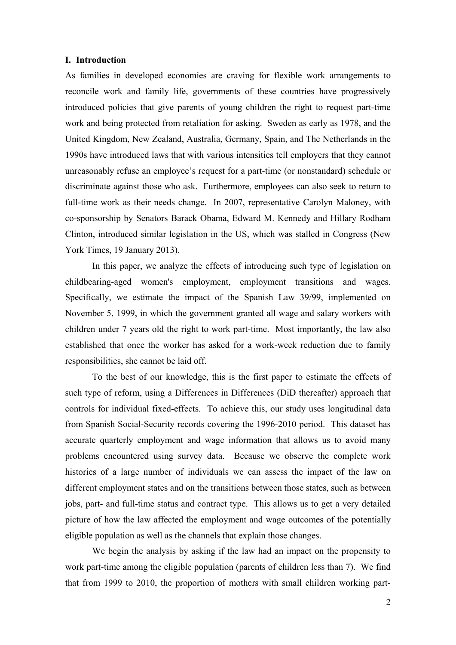#### **I. Introduction**

As families in developed economies are craving for flexible work arrangements to reconcile work and family life, governments of these countries have progressively introduced policies that give parents of young children the right to request part-time work and being protected from retaliation for asking. Sweden as early as 1978, and the United Kingdom, New Zealand, Australia, Germany, Spain, and The Netherlands in the 1990s have introduced laws that with various intensities tell employers that they cannot unreasonably refuse an employee's request for a part-time (or nonstandard) schedule or discriminate against those who ask. Furthermore, employees can also seek to return to full-time work as their needs change. In 2007, representative Carolyn Maloney, with co-sponsorship by Senators Barack Obama, Edward M. Kennedy and Hillary Rodham Clinton, introduced similar legislation in the US, which was stalled in Congress (New York Times, 19 January 2013).

In this paper, we analyze the effects of introducing such type of legislation on childbearing-aged women's employment, employment transitions and wages. Specifically, we estimate the impact of the Spanish Law 39/99, implemented on November 5, 1999, in which the government granted all wage and salary workers with children under 7 years old the right to work part-time. Most importantly, the law also established that once the worker has asked for a work-week reduction due to family responsibilities, she cannot be laid off.

To the best of our knowledge, this is the first paper to estimate the effects of such type of reform, using a Differences in Differences (DiD thereafter) approach that controls for individual fixed-effects. To achieve this, our study uses longitudinal data from Spanish Social-Security records covering the 1996-2010 period. This dataset has accurate quarterly employment and wage information that allows us to avoid many problems encountered using survey data. Because we observe the complete work histories of a large number of individuals we can assess the impact of the law on different employment states and on the transitions between those states, such as between jobs, part- and full-time status and contract type. This allows us to get a very detailed picture of how the law affected the employment and wage outcomes of the potentially eligible population as well as the channels that explain those changes.

We begin the analysis by asking if the law had an impact on the propensity to work part-time among the eligible population (parents of children less than 7). We find that from 1999 to 2010, the proportion of mothers with small children working part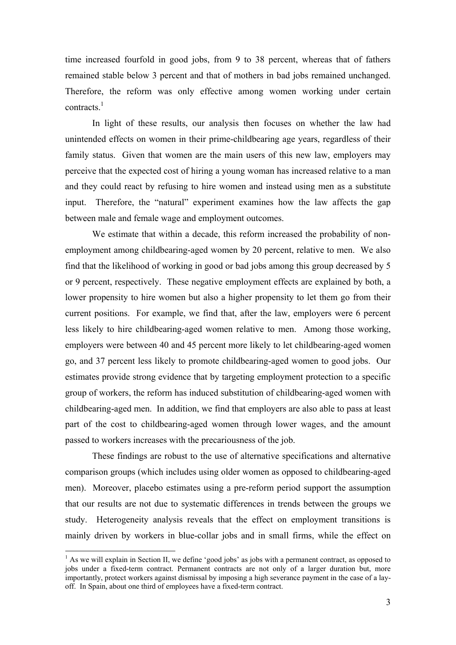time increased fourfold in good jobs, from 9 to 38 percent, whereas that of fathers remained stable below 3 percent and that of mothers in bad jobs remained unchanged. Therefore, the reform was only effective among women working under certain contracts $1$ 

In light of these results, our analysis then focuses on whether the law had unintended effects on women in their prime-childbearing age years, regardless of their family status. Given that women are the main users of this new law, employers may perceive that the expected cost of hiring a young woman has increased relative to a man and they could react by refusing to hire women and instead using men as a substitute input. Therefore, the "natural" experiment examines how the law affects the gap between male and female wage and employment outcomes.

We estimate that within a decade, this reform increased the probability of nonemployment among childbearing-aged women by 20 percent, relative to men. We also find that the likelihood of working in good or bad jobs among this group decreased by 5 or 9 percent, respectively. These negative employment effects are explained by both, a lower propensity to hire women but also a higher propensity to let them go from their current positions. For example, we find that, after the law, employers were 6 percent less likely to hire childbearing-aged women relative to men. Among those working, employers were between 40 and 45 percent more likely to let childbearing-aged women go, and 37 percent less likely to promote childbearing-aged women to good jobs. Our estimates provide strong evidence that by targeting employment protection to a specific group of workers, the reform has induced substitution of childbearing-aged women with childbearing-aged men. In addition, we find that employers are also able to pass at least part of the cost to childbearing-aged women through lower wages, and the amount passed to workers increases with the precariousness of the job.

These findings are robust to the use of alternative specifications and alternative comparison groups (which includes using older women as opposed to childbearing-aged men). Moreover, placebo estimates using a pre-reform period support the assumption that our results are not due to systematic differences in trends between the groups we study. Heterogeneity analysis reveals that the effect on employment transitions is mainly driven by workers in blue-collar jobs and in small firms, while the effect on

 $<sup>1</sup>$  As we will explain in Section II, we define 'good jobs' as jobs with a permanent contract, as opposed to</sup> jobs under a fixed-term contract. Permanent contracts are not only of a larger duration but, more importantly, protect workers against dismissal by imposing a high severance payment in the case of a layoff. In Spain, about one third of employees have a fixed-term contract.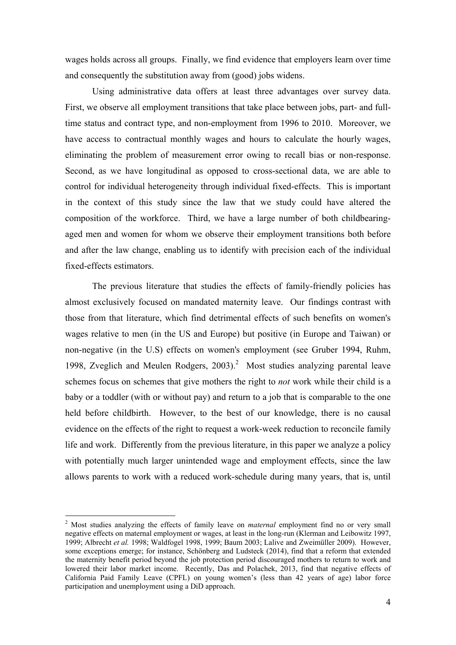wages holds across all groups. Finally, we find evidence that employers learn over time and consequently the substitution away from (good) jobs widens.

 Using administrative data offers at least three advantages over survey data. First, we observe all employment transitions that take place between jobs, part- and fulltime status and contract type, and non-employment from 1996 to 2010. Moreover, we have access to contractual monthly wages and hours to calculate the hourly wages, eliminating the problem of measurement error owing to recall bias or non-response. Second, as we have longitudinal as opposed to cross-sectional data, we are able to control for individual heterogeneity through individual fixed-effects. This is important in the context of this study since the law that we study could have altered the composition of the workforce. Third, we have a large number of both childbearingaged men and women for whom we observe their employment transitions both before and after the law change, enabling us to identify with precision each of the individual fixed-effects estimators.

 The previous literature that studies the effects of family-friendly policies has almost exclusively focused on mandated maternity leave. Our findings contrast with those from that literature, which find detrimental effects of such benefits on women's wages relative to men (in the US and Europe) but positive (in Europe and Taiwan) or non-negative (in the U.S) effects on women's employment (see Gruber 1994, Ruhm, 1998, Zveglich and Meulen Rodgers, 2003).<sup>2</sup> Most studies analyzing parental leave schemes focus on schemes that give mothers the right to *not* work while their child is a baby or a toddler (with or without pay) and return to a job that is comparable to the one held before childbirth. However, to the best of our knowledge, there is no causal evidence on the effects of the right to request a work-week reduction to reconcile family life and work. Differently from the previous literature, in this paper we analyze a policy with potentially much larger unintended wage and employment effects, since the law allows parents to work with a reduced work-schedule during many years, that is, until

<sup>2</sup> Most studies analyzing the effects of family leave on *maternal* employment find no or very small negative effects on maternal employment or wages, at least in the long-run (Klerman and Leibowitz 1997, 1999; Albrecht *et al.* 1998; Waldfogel 1998, 1999; Baum 2003; Lalive and Zweimüller 2009). However, some exceptions emerge; for instance, Schönberg and Ludsteck (2014), find that a reform that extended the maternity benefit period beyond the job protection period discouraged mothers to return to work and lowered their labor market income. Recently, Das and Polachek, 2013, find that negative effects of California Paid Family Leave (CPFL) on young women's (less than 42 years of age) labor force participation and unemployment using a DiD approach.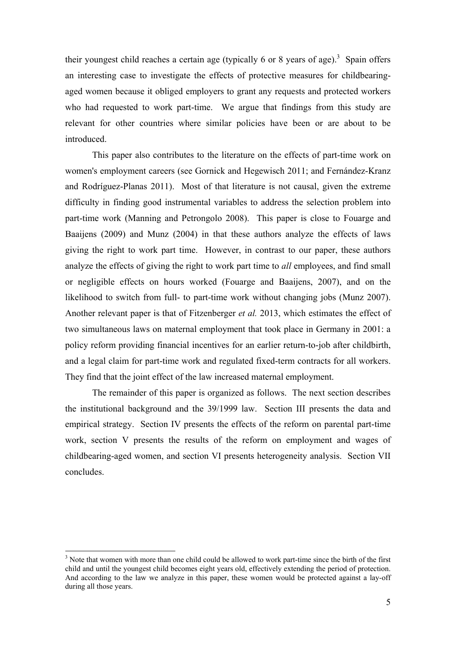their youngest child reaches a certain age (typically 6 or 8 years of age).<sup>3</sup> Spain offers an interesting case to investigate the effects of protective measures for childbearingaged women because it obliged employers to grant any requests and protected workers who had requested to work part-time. We argue that findings from this study are relevant for other countries where similar policies have been or are about to be introduced.

This paper also contributes to the literature on the effects of part-time work on women's employment careers (see Gornick and Hegewisch 2011; and Fernández-Kranz and Rodríguez-Planas 2011). Most of that literature is not causal, given the extreme difficulty in finding good instrumental variables to address the selection problem into part-time work (Manning and Petrongolo 2008). This paper is close to Fouarge and Baaijens (2009) and Munz (2004) in that these authors analyze the effects of laws giving the right to work part time. However, in contrast to our paper, these authors analyze the effects of giving the right to work part time to *all* employees, and find small or negligible effects on hours worked (Fouarge and Baaijens, 2007), and on the likelihood to switch from full- to part-time work without changing jobs (Munz 2007). Another relevant paper is that of Fitzenberger *et al.* 2013, which estimates the effect of two simultaneous laws on maternal employment that took place in Germany in 2001: a policy reform providing financial incentives for an earlier return-to-job after childbirth, and a legal claim for part-time work and regulated fixed-term contracts for all workers. They find that the joint effect of the law increased maternal employment.

 The remainder of this paper is organized as follows. The next section describes the institutional background and the 39/1999 law. Section III presents the data and empirical strategy. Section IV presents the effects of the reform on parental part-time work, section V presents the results of the reform on employment and wages of childbearing-aged women, and section VI presents heterogeneity analysis. Section VII concludes.

 $3$  Note that women with more than one child could be allowed to work part-time since the birth of the first child and until the youngest child becomes eight years old, effectively extending the period of protection. And according to the law we analyze in this paper, these women would be protected against a lay-off during all those years.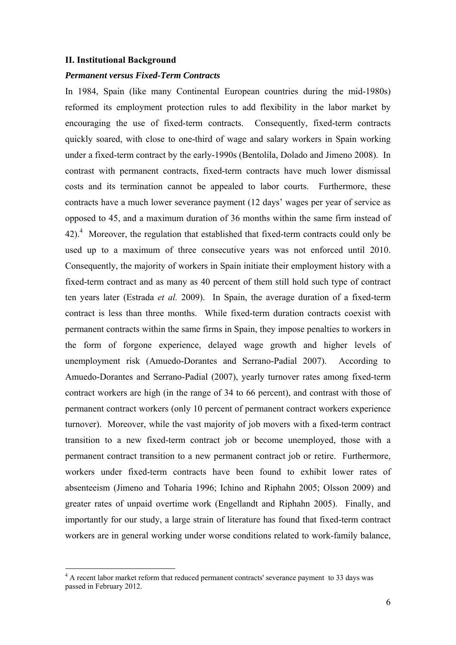#### **II. Institutional Background**

1

#### *Permanent versus Fixed-Term Contracts*

In 1984, Spain (like many Continental European countries during the mid-1980s) reformed its employment protection rules to add flexibility in the labor market by encouraging the use of fixed-term contracts. Consequently, fixed-term contracts quickly soared, with close to one-third of wage and salary workers in Spain working under a fixed-term contract by the early-1990s (Bentolila, Dolado and Jimeno 2008). In contrast with permanent contracts, fixed-term contracts have much lower dismissal costs and its termination cannot be appealed to labor courts. Furthermore, these contracts have a much lower severance payment (12 days' wages per year of service as opposed to 45, and a maximum duration of 36 months within the same firm instead of  $42$ ).<sup>4</sup> Moreover, the regulation that established that fixed-term contracts could only be used up to a maximum of three consecutive years was not enforced until 2010. Consequently, the majority of workers in Spain initiate their employment history with a fixed-term contract and as many as 40 percent of them still hold such type of contract ten years later (Estrada *et al.* 2009). In Spain, the average duration of a fixed-term contract is less than three months. While fixed-term duration contracts coexist with permanent contracts within the same firms in Spain, they impose penalties to workers in the form of forgone experience, delayed wage growth and higher levels of unemployment risk (Amuedo-Dorantes and Serrano-Padial 2007). According to Amuedo-Dorantes and Serrano-Padial (2007), yearly turnover rates among fixed-term contract workers are high (in the range of 34 to 66 percent), and contrast with those of permanent contract workers (only 10 percent of permanent contract workers experience turnover). Moreover, while the vast majority of job movers with a fixed-term contract transition to a new fixed-term contract job or become unemployed, those with a permanent contract transition to a new permanent contract job or retire. Furthermore, workers under fixed-term contracts have been found to exhibit lower rates of absenteeism (Jimeno and Toharia 1996; Ichino and Riphahn 2005; Olsson 2009) and greater rates of unpaid overtime work (Engellandt and Riphahn 2005). Finally, and importantly for our study, a large strain of literature has found that fixed-term contract workers are in general working under worse conditions related to work-family balance,

<sup>&</sup>lt;sup>4</sup> A recent labor market reform that reduced permanent contracts' severance payment to 33 days was passed in February 2012.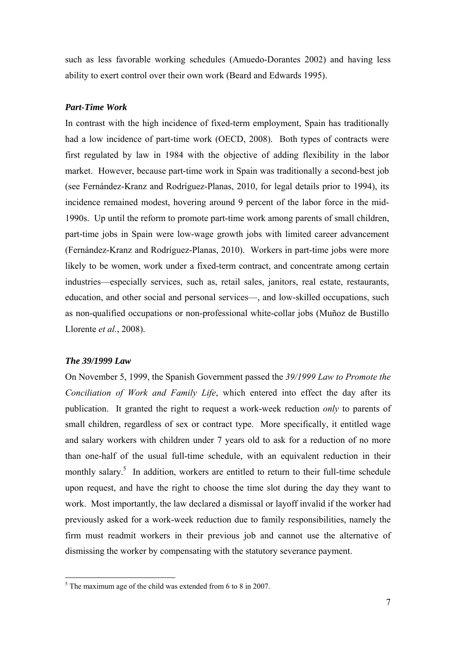such as less favorable working schedules (Amuedo-Dorantes 2002) and having less ability to exert control over their own work (Beard and Edwards 1995).

#### *Part-Time Work*

In contrast with the high incidence of fixed-term employment, Spain has traditionally had a low incidence of part-time work (OECD, 2008). Both types of contracts were first regulated by law in 1984 with the objective of adding flexibility in the labor market. However, because part-time work in Spain was traditionally a second-best job (see Fernández-Kranz and Rodríguez-Planas, 2010, for legal details prior to 1994), its incidence remained modest, hovering around 9 percent of the labor force in the mid-1990s. Up until the reform to promote part-time work among parents of small children, part-time jobs in Spain were low-wage growth jobs with limited career advancement (Fernández-Kranz and Rodríguez-Planas, 2010). Workers in part-time jobs were more likely to be women, work under a fixed-term contract, and concentrate among certain industries—especially services, such as, retail sales, janitors, real estate, restaurants, education, and other social and personal services—, and low-skilled occupations, such as non-qualified occupations or non-professional white-collar jobs (Muñoz de Bustillo Llorente *et al.*, 2008).

#### *The 39/1999 Law*

On November 5, 1999, the Spanish Government passed the *39/1999 Law to Promote the Conciliation of Work and Family Life*, which entered into effect the day after its publication. It granted the right to request a work-week reduction *only* to parents of small children, regardless of sex or contract type. More specifically, it entitled wage and salary workers with children under 7 years old to ask for a reduction of no more than one-half of the usual full-time schedule, with an equivalent reduction in their monthly salary.<sup>5</sup> In addition, workers are entitled to return to their full-time schedule upon request, and have the right to choose the time slot during the day they want to work. Most importantly, the law declared a dismissal or layoff invalid if the worker had previously asked for a work-week reduction due to family responsibilities, namely the firm must readmit workers in their previous job and cannot use the alternative of dismissing the worker by compensating with the statutory severance payment.

<sup>&</sup>lt;sup>5</sup> The maximum age of the child was extended from 6 to 8 in 2007.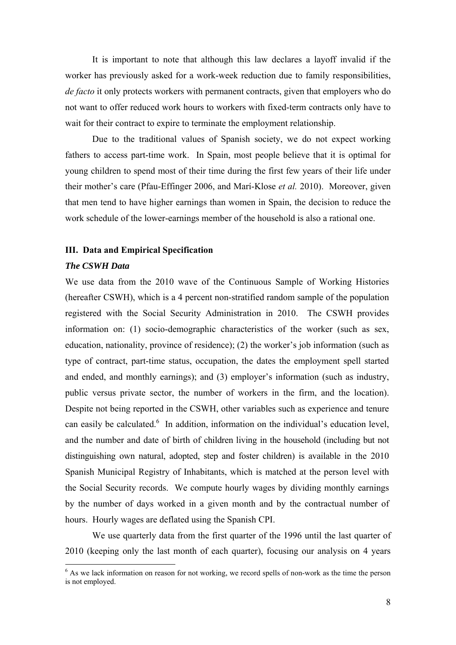It is important to note that although this law declares a layoff invalid if the worker has previously asked for a work-week reduction due to family responsibilities, *de facto* it only protects workers with permanent contracts, given that employers who do not want to offer reduced work hours to workers with fixed-term contracts only have to wait for their contract to expire to terminate the employment relationship.

Due to the traditional values of Spanish society, we do not expect working fathers to access part-time work. In Spain, most people believe that it is optimal for young children to spend most of their time during the first few years of their life under their mother's care (Pfau-Effinger 2006, and Marí-Klose *et al.* 2010). Moreover, given that men tend to have higher earnings than women in Spain, the decision to reduce the work schedule of the lower-earnings member of the household is also a rational one.

#### **III. Data and Empirical Specification**

#### *The CSWH Data*

We use data from the 2010 wave of the Continuous Sample of Working Histories (hereafter CSWH), which is a 4 percent non-stratified random sample of the population registered with the Social Security Administration in 2010. The CSWH provides information on: (1) socio-demographic characteristics of the worker (such as sex, education, nationality, province of residence); (2) the worker's job information (such as type of contract, part-time status, occupation, the dates the employment spell started and ended, and monthly earnings); and (3) employer's information (such as industry, public versus private sector, the number of workers in the firm, and the location). Despite not being reported in the CSWH, other variables such as experience and tenure can easily be calculated.<sup>6</sup> In addition, information on the individual's education level, and the number and date of birth of children living in the household (including but not distinguishing own natural, adopted, step and foster children) is available in the 2010 Spanish Municipal Registry of Inhabitants, which is matched at the person level with the Social Security records. We compute hourly wages by dividing monthly earnings by the number of days worked in a given month and by the contractual number of hours. Hourly wages are deflated using the Spanish CPI.

 We use quarterly data from the first quarter of the 1996 until the last quarter of 2010 (keeping only the last month of each quarter), focusing our analysis on 4 years

<sup>&</sup>lt;sup>6</sup> As we lack information on reason for not working, we record spells of non-work as the time the person is not employed.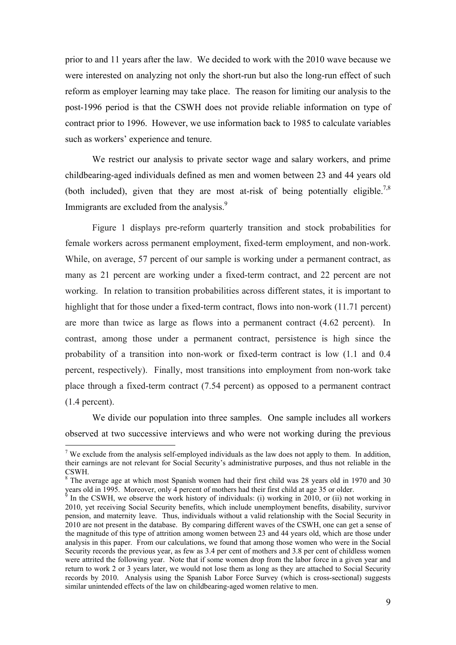prior to and 11 years after the law. We decided to work with the 2010 wave because we were interested on analyzing not only the short-run but also the long-run effect of such reform as employer learning may take place. The reason for limiting our analysis to the post-1996 period is that the CSWH does not provide reliable information on type of contract prior to 1996. However, we use information back to 1985 to calculate variables such as workers' experience and tenure.

We restrict our analysis to private sector wage and salary workers, and prime childbearing-aged individuals defined as men and women between 23 and 44 years old (both included), given that they are most at-risk of being potentially eligible.<sup>7,8</sup> Immigrants are excluded from the analysis.<sup>9</sup>

 Figure 1 displays pre-reform quarterly transition and stock probabilities for female workers across permanent employment, fixed-term employment, and non-work. While, on average, 57 percent of our sample is working under a permanent contract, as many as 21 percent are working under a fixed-term contract, and 22 percent are not working. In relation to transition probabilities across different states, it is important to highlight that for those under a fixed-term contract, flows into non-work (11.71 percent) are more than twice as large as flows into a permanent contract (4.62 percent). In contrast, among those under a permanent contract, persistence is high since the probability of a transition into non-work or fixed-term contract is low (1.1 and 0.4 percent, respectively). Finally, most transitions into employment from non-work take place through a fixed-term contract (7.54 percent) as opposed to a permanent contract (1.4 percent).

 We divide our population into three samples. One sample includes all workers observed at two successive interviews and who were not working during the previous

<sup>&</sup>lt;sup>7</sup> We exclude from the analysis self-employed individuals as the law does not apply to them. In addition, their earnings are not relevant for Social Security's administrative purposes, and thus not reliable in the CSWH.

<sup>&</sup>lt;sup>8</sup> The average age at which most Spanish women had their first child was 28 years old in 1970 and 30 years old in 1995. Moreover, only 4 percent of mothers had their first child at age 35 or older.

In the CSWH, we observe the work history of individuals: (i) working in 2010, or (ii) not working in 2010, yet receiving Social Security benefits, which include unemployment benefits, disability, survivor pension, and maternity leave. Thus, individuals without a valid relationship with the Social Security in 2010 are not present in the database. By comparing different waves of the CSWH, one can get a sense of the magnitude of this type of attrition among women between 23 and 44 years old, which are those under analysis in this paper. From our calculations, we found that among those women who were in the Social Security records the previous year, as few as 3.4 per cent of mothers and 3.8 per cent of childless women were attrited the following year. Note that if some women drop from the labor force in a given year and return to work 2 or 3 years later, we would not lose them as long as they are attached to Social Security records by 2010. Analysis using the Spanish Labor Force Survey (which is cross-sectional) suggests similar unintended effects of the law on childbearing-aged women relative to men.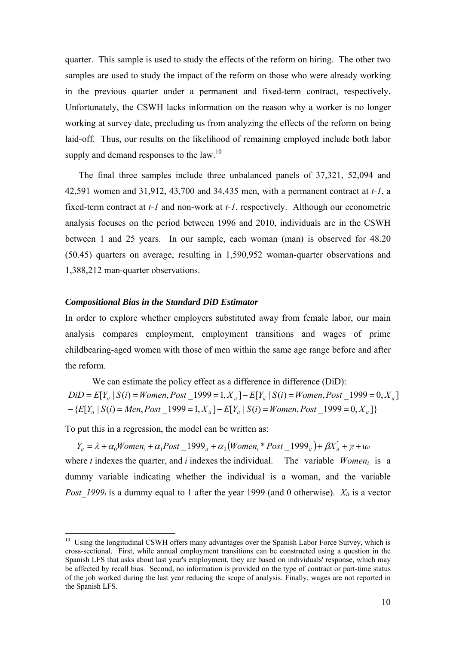quarter. This sample is used to study the effects of the reform on hiring. The other two samples are used to study the impact of the reform on those who were already working in the previous quarter under a permanent and fixed-term contract, respectively. Unfortunately, the CSWH lacks information on the reason why a worker is no longer working at survey date, precluding us from analyzing the effects of the reform on being laid-off. Thus, our results on the likelihood of remaining employed include both labor supply and demand responses to the law.<sup>10</sup>

The final three samples include three unbalanced panels of 37,321, 52,094 and 42,591 women and 31,912, 43,700 and 34,435 men, with a permanent contract at *t-1*, a fixed-term contract at *t-1* and non-work at *t-1*, respectively. Although our econometric analysis focuses on the period between 1996 and 2010, individuals are in the CSWH between 1 and 25 years. In our sample, each woman (man) is observed for 48.20 (50.45) quarters on average, resulting in 1,590,952 woman-quarter observations and 1,388,212 man-quarter observations.

#### *Compositional Bias in the Standard DiD Estimator*

In order to explore whether employers substituted away from female labor, our main analysis compares employment, employment transitions and wages of prime childbearing-aged women with those of men within the same age range before and after the reform.

We can estimate the policy effect as a difference in difference (DiD):  $-$ {E[Y<sub>it</sub></sub> | S(i) = Men, Post \_1999 = 1,  $X_{it}$ ]  $-$  E[Y<sub>it</sub> | S(i) = Women, Post \_1999 = 0,  $X_{it}$ ]}  $DiD = E[Y_{it} | S(i) = Women, Post\_1999 = 1, X_{it}] - E[Y_{it} | S(i) = Women, Post\_1999 = 0, X_{it}]$ 

To put this in a regression, the model can be written as:

1

where  $t$  indexes the quarter, and  $i$  indexes the individual. The variable *Women<sub>i</sub>* is a dummy variable indicating whether the individual is a woman, and the variable *Post 1999<sub>t</sub>* is a dummy equal to 1 after the year 1999 (and 0 otherwise).  $X_{it}$  is a vector  $Y_{ii} = \lambda + \alpha_0 W \text{omen}_i + \alpha_1 Post \_ 1999_{ii} + \alpha_2 (W \text{omen}_i * Post \_ 1999_{ii}) + \beta X_{ii}^{\prime} + \gamma_i + u_{ii}$ 

<sup>&</sup>lt;sup>10</sup> Using the longitudinal CSWH offers many advantages over the Spanish Labor Force Survey, which is cross-sectional. First, while annual employment transitions can be constructed using a question in the Spanish LFS that asks about last year's employment, they are based on individuals' response, which may be affected by recall bias. Second, no information is provided on the type of contract or part-time status of the job worked during the last year reducing the scope of analysis. Finally, wages are not reported in the Spanish LFS.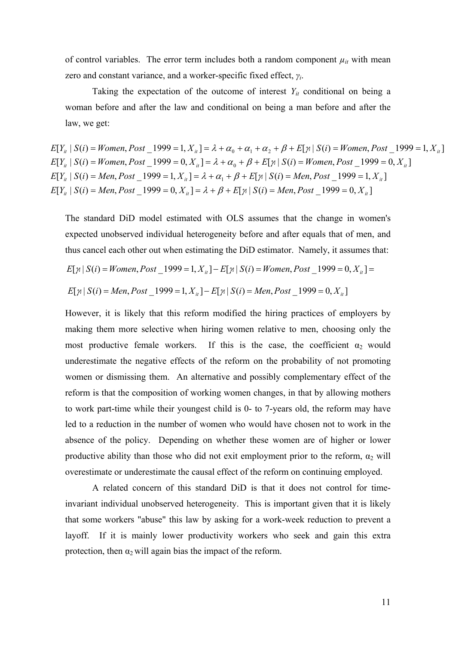of control variables. The error term includes both a random component  $\mu_{it}$  with mean zero and constant variance, and a worker-specific fixed effect, *γi*.

Taking the expectation of the outcome of interest  $Y_{it}$  conditional on being a woman before and after the law and conditional on being a man before and after the law, we get:

 $E[Y_{ii} | S(i) = Men, Post \_ 1999 = 0, X_{ii} = \lambda + \beta + E[\gamma | S(i) = Men, Post \_ 1999 = 0, X_{ii}$  $E[Y_i | S(i) = Men, Post \_ 1999 = 1, X_{ii}] = \lambda + \alpha_1 + \beta + E[\gamma | S(i) = Men, Post \_ 1999 = 1, X_{ii}]$  $E[Y_{ii} | S(i) = W$ omen, Post  $\_\!\!\!\!\! \_1999 = 0, X_{ii} = \lambda + \alpha_0 + \beta + E[\gamma | S(i) = W$ omen, Post $\_\!\!\!\!\! \_1999 = 0, X_{ii}$  $E[Y_i | S(i) = W$ omen, Post  $\_\!\!\! 1999 = 1, X_{ii} = \lambda + \alpha_0 + \alpha_1 + \alpha_2 + \beta + E[\![\n \pi \,|\, S(i) = W$ omen, Post $\_\!\!\! 1999 = 1, X_{ii}$ 

The standard DiD model estimated with OLS assumes that the change in women's expected unobserved individual heterogeneity before and after equals that of men, and thus cancel each other out when estimating the DiD estimator. Namely, it assumes that:

$$
E[\gamma | S(i) = Women, Post\_1999 = 1, X_{ii}] - E[\gamma | S(i) = Women, Post\_1999 = 0, X_{ii}] =
$$

$$
E[\gamma | S(i) = Men, Post\_1999 = 1, X_{it}] - E[\gamma | S(i) = Men, Post\_1999 = 0, X_{it}]
$$

However, it is likely that this reform modified the hiring practices of employers by making them more selective when hiring women relative to men, choosing only the most productive female workers. If this is the case, the coefficient  $\alpha_2$  would underestimate the negative effects of the reform on the probability of not promoting women or dismissing them. An alternative and possibly complementary effect of the reform is that the composition of working women changes, in that by allowing mothers to work part-time while their youngest child is 0- to 7-years old, the reform may have led to a reduction in the number of women who would have chosen not to work in the absence of the policy. Depending on whether these women are of higher or lower productive ability than those who did not exit employment prior to the reform,  $\alpha_2$  will overestimate or underestimate the causal effect of the reform on continuing employed.

 A related concern of this standard DiD is that it does not control for timeinvariant individual unobserved heterogeneity. This is important given that it is likely that some workers "abuse" this law by asking for a work-week reduction to prevent a layoff. If it is mainly lower productivity workers who seek and gain this extra protection, then  $\alpha_2$  will again bias the impact of the reform.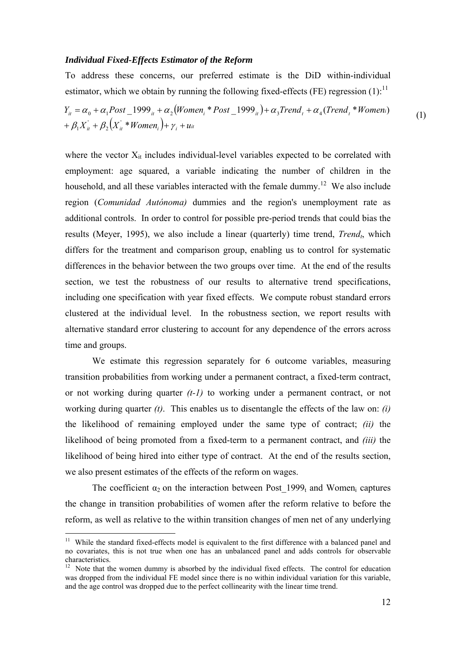#### *Individual Fixed-Effects Estimator of the Reform*

To address these concerns, our preferred estimate is the DiD within-individual estimator, which we obtain by running the following fixed-effects (FE) regression  $(1)$ :<sup>11</sup>

 $Y_{ii} = \alpha_0 + \alpha_1 Post \_ 1999_{ii} + \alpha_2 (Women_i * Post \_ 1999_{ii}) + \alpha_3 Trend_i + \alpha_4 (Trend_i * Women_i)$  (1)  $+ \beta_1 X_{it}^{\prime} + \beta_2 \big(X_{it}^{\prime} * \textit{Women}_i\big) + \gamma_i + u_{it}$ 

where the vector  $X_{it}$  includes individual-level variables expected to be correlated with employment: age squared, a variable indicating the number of children in the household, and all these variables interacted with the female dummy.<sup>12</sup> We also include region (*Comunidad Autónoma)* dummies and the region's unemployment rate as additional controls. In order to control for possible pre-period trends that could bias the results (Meyer, 1995), we also include a linear (quarterly) time trend, *Trend<sub>t</sub>*, which differs for the treatment and comparison group, enabling us to control for systematic differences in the behavior between the two groups over time. At the end of the results section, we test the robustness of our results to alternative trend specifications, including one specification with year fixed effects. We compute robust standard errors clustered at the individual level. In the robustness section, we report results with alternative standard error clustering to account for any dependence of the errors across time and groups.

We estimate this regression separately for 6 outcome variables, measuring transition probabilities from working under a permanent contract, a fixed-term contract, or not working during quarter *(t-1)* to working under a permanent contract, or not working during quarter *(t)*. This enables us to disentangle the effects of the law on: *(i)* the likelihood of remaining employed under the same type of contract; *(ii)* the likelihood of being promoted from a fixed-term to a permanent contract, and *(iii)* the likelihood of being hired into either type of contract. At the end of the results section, we also present estimates of the effects of the reform on wages.

The coefficient  $\alpha_2$  on the interaction between Post 1999<sub>t</sub> and Women<sub>i</sub> captures the change in transition probabilities of women after the reform relative to before the reform, as well as relative to the within transition changes of men net of any underlying

<sup>&</sup>lt;sup>11</sup> While the standard fixed-effects model is equivalent to the first difference with a balanced panel and no covariates, this is not true when one has an unbalanced panel and adds controls for observable characteristics.

 $12$  Note that the women dummy is absorbed by the individual fixed effects. The control for education was dropped from the individual FE model since there is no within individual variation for this variable, and the age control was dropped due to the perfect collinearity with the linear time trend.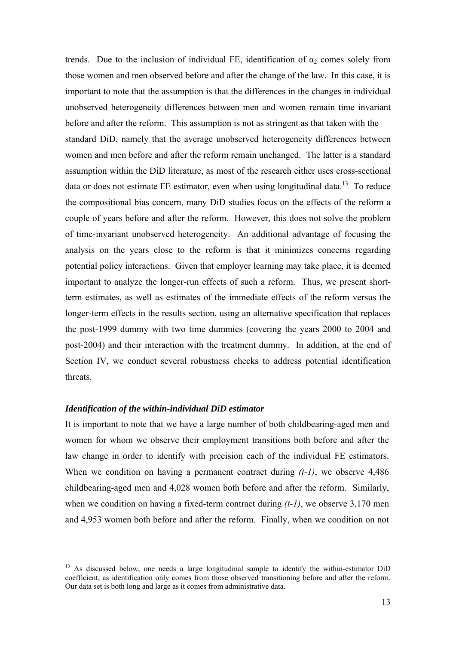trends. Due to the inclusion of individual FE, identification of  $\alpha_2$  comes solely from those women and men observed before and after the change of the law. In this case, it is important to note that the assumption is that the differences in the changes in individual unobserved heterogeneity differences between men and women remain time invariant before and after the reform. This assumption is not as stringent as that taken with the standard DiD, namely that the average unobserved heterogeneity differences between women and men before and after the reform remain unchanged. The latter is a standard assumption within the DiD literature, as most of the research either uses cross-sectional data or does not estimate FE estimator, even when using longitudinal data.<sup>13</sup> To reduce the compositional bias concern, many DiD studies focus on the effects of the reform a couple of years before and after the reform. However, this does not solve the problem of time-invariant unobserved heterogeneity. An additional advantage of focusing the analysis on the years close to the reform is that it minimizes concerns regarding potential policy interactions. Given that employer learning may take place, it is deemed important to analyze the longer-run effects of such a reform. Thus, we present shortterm estimates, as well as estimates of the immediate effects of the reform versus the longer-term effects in the results section, using an alternative specification that replaces the post-1999 dummy with two time dummies (covering the years 2000 to 2004 and post-2004) and their interaction with the treatment dummy. In addition, at the end of Section IV, we conduct several robustness checks to address potential identification threats.

#### *Identification of the within-individual DiD estimator*

1

It is important to note that we have a large number of both childbearing-aged men and women for whom we observe their employment transitions both before and after the law change in order to identify with precision each of the individual FE estimators. When we condition on having a permanent contract during *(t-1)*, we observe 4,486 childbearing-aged men and 4,028 women both before and after the reform. Similarly, when we condition on having a fixed-term contract during *(t-1)*, we observe 3,170 men and 4,953 women both before and after the reform. Finally, when we condition on not

<sup>&</sup>lt;sup>13</sup> As discussed below, one needs a large longitudinal sample to identify the within-estimator DiD coefficient, as identification only comes from those observed transitioning before and after the reform. Our data set is both long and large as it comes from administrative data.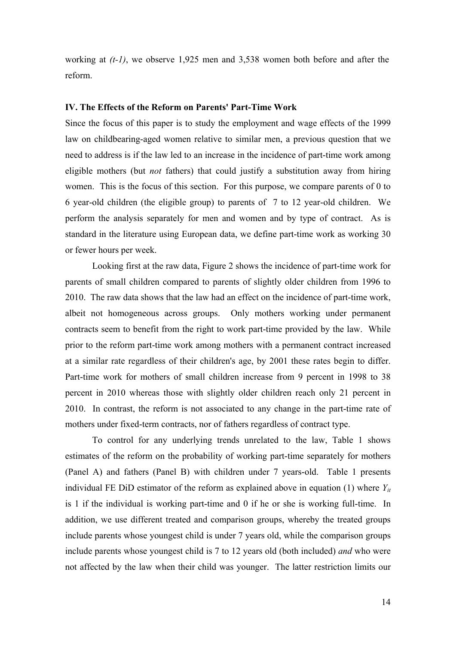working at *(t-1)*, we observe 1,925 men and 3,538 women both before and after the reform.

#### **IV. The Effects of the Reform on Parents' Part-Time Work**

Since the focus of this paper is to study the employment and wage effects of the 1999 law on childbearing-aged women relative to similar men, a previous question that we need to address is if the law led to an increase in the incidence of part-time work among eligible mothers (but *not* fathers) that could justify a substitution away from hiring women. This is the focus of this section. For this purpose, we compare parents of 0 to 6 year-old children (the eligible group) to parents of 7 to 12 year-old children. We perform the analysis separately for men and women and by type of contract. As is standard in the literature using European data, we define part-time work as working 30 or fewer hours per week.

Looking first at the raw data, Figure 2 shows the incidence of part-time work for parents of small children compared to parents of slightly older children from 1996 to 2010. The raw data shows that the law had an effect on the incidence of part-time work, albeit not homogeneous across groups. Only mothers working under permanent contracts seem to benefit from the right to work part-time provided by the law. While prior to the reform part-time work among mothers with a permanent contract increased at a similar rate regardless of their children's age, by 2001 these rates begin to differ. Part-time work for mothers of small children increase from 9 percent in 1998 to 38 percent in 2010 whereas those with slightly older children reach only 21 percent in 2010. In contrast, the reform is not associated to any change in the part-time rate of mothers under fixed-term contracts, nor of fathers regardless of contract type.

To control for any underlying trends unrelated to the law, Table 1 shows estimates of the reform on the probability of working part-time separately for mothers (Panel A) and fathers (Panel B) with children under 7 years-old. Table 1 presents individual FE DiD estimator of the reform as explained above in equation (1) where  $Y_{it}$ is 1 if the individual is working part-time and 0 if he or she is working full-time. In addition, we use different treated and comparison groups, whereby the treated groups include parents whose youngest child is under 7 years old, while the comparison groups include parents whose youngest child is 7 to 12 years old (both included) *and* who were not affected by the law when their child was younger. The latter restriction limits our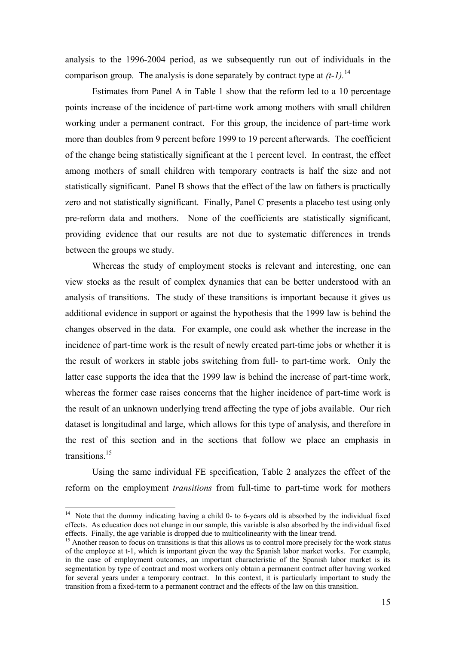analysis to the 1996-2004 period, as we subsequently run out of individuals in the comparison group. The analysis is done separately by contract type at  $(t-1)$ .<sup>14</sup>

Estimates from Panel A in Table 1 show that the reform led to a 10 percentage points increase of the incidence of part-time work among mothers with small children working under a permanent contract. For this group, the incidence of part-time work more than doubles from 9 percent before 1999 to 19 percent afterwards. The coefficient of the change being statistically significant at the 1 percent level. In contrast, the effect among mothers of small children with temporary contracts is half the size and not statistically significant. Panel B shows that the effect of the law on fathers is practically zero and not statistically significant. Finally, Panel C presents a placebo test using only pre-reform data and mothers. None of the coefficients are statistically significant, providing evidence that our results are not due to systematic differences in trends between the groups we study.

Whereas the study of employment stocks is relevant and interesting, one can view stocks as the result of complex dynamics that can be better understood with an analysis of transitions. The study of these transitions is important because it gives us additional evidence in support or against the hypothesis that the 1999 law is behind the changes observed in the data. For example, one could ask whether the increase in the incidence of part-time work is the result of newly created part-time jobs or whether it is the result of workers in stable jobs switching from full- to part-time work. Only the latter case supports the idea that the 1999 law is behind the increase of part-time work, whereas the former case raises concerns that the higher incidence of part-time work is the result of an unknown underlying trend affecting the type of jobs available. Our rich dataset is longitudinal and large, which allows for this type of analysis, and therefore in the rest of this section and in the sections that follow we place an emphasis in transitions<sup>15</sup>

Using the same individual FE specification, Table 2 analyzes the effect of the reform on the employment *transitions* from full-time to part-time work for mothers

<sup>&</sup>lt;sup>14</sup> Note that the dummy indicating having a child 0- to 6-years old is absorbed by the individual fixed effects. As education does not change in our sample, this variable is also absorbed by the individual fixed effects. Finally, the age variable is dropped due to multicolinearity with the linear trend.

<sup>&</sup>lt;sup>15</sup> Another reason to focus on transitions is that this allows us to control more precisely for the work status of the employee at t-1, which is important given the way the Spanish labor market works. For example, in the case of employment outcomes, an important characteristic of the Spanish labor market is its segmentation by type of contract and most workers only obtain a permanent contract after having worked for several years under a temporary contract. In this context, it is particularly important to study the transition from a fixed-term to a permanent contract and the effects of the law on this transition.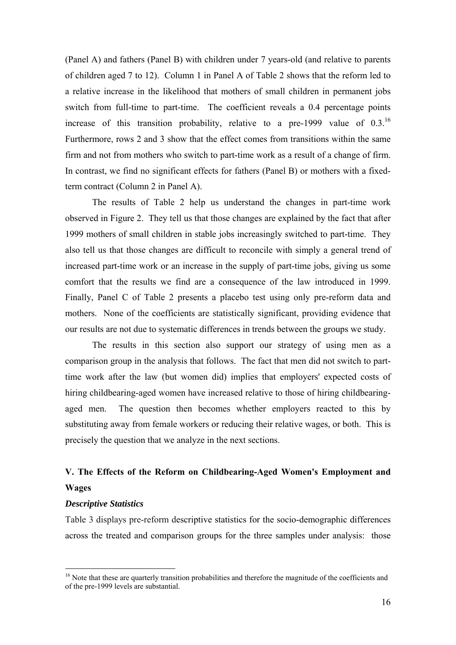(Panel A) and fathers (Panel B) with children under 7 years-old (and relative to parents of children aged 7 to 12). Column 1 in Panel A of Table 2 shows that the reform led to a relative increase in the likelihood that mothers of small children in permanent jobs switch from full-time to part-time. The coefficient reveals a 0.4 percentage points increase of this transition probability, relative to a pre-1999 value of  $0.3^{16}$ Furthermore, rows 2 and 3 show that the effect comes from transitions within the same firm and not from mothers who switch to part-time work as a result of a change of firm. In contrast, we find no significant effects for fathers (Panel B) or mothers with a fixedterm contract (Column 2 in Panel A).

The results of Table 2 help us understand the changes in part-time work observed in Figure 2. They tell us that those changes are explained by the fact that after 1999 mothers of small children in stable jobs increasingly switched to part-time. They also tell us that those changes are difficult to reconcile with simply a general trend of increased part-time work or an increase in the supply of part-time jobs, giving us some comfort that the results we find are a consequence of the law introduced in 1999. Finally, Panel C of Table 2 presents a placebo test using only pre-reform data and mothers. None of the coefficients are statistically significant, providing evidence that our results are not due to systematic differences in trends between the groups we study.

The results in this section also support our strategy of using men as a comparison group in the analysis that follows. The fact that men did not switch to parttime work after the law (but women did) implies that employers' expected costs of hiring childbearing-aged women have increased relative to those of hiring childbearingaged men. The question then becomes whether employers reacted to this by substituting away from female workers or reducing their relative wages, or both. This is precisely the question that we analyze in the next sections.

### **V. The Effects of the Reform on Childbearing-Aged Women's Employment and Wages**

#### *Descriptive Statistics*

1

Table 3 displays pre-reform descriptive statistics for the socio-demographic differences across the treated and comparison groups for the three samples under analysis: those

<sup>&</sup>lt;sup>16</sup> Note that these are quarterly transition probabilities and therefore the magnitude of the coefficients and of the pre-1999 levels are substantial.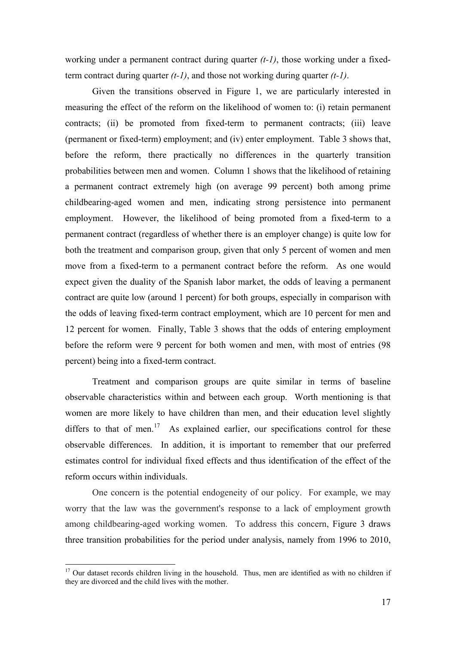working under a permanent contract during quarter *(t-1)*, those working under a fixedterm contract during quarter *(t-1)*, and those not working during quarter *(t-1)*.

 Given the transitions observed in Figure 1, we are particularly interested in measuring the effect of the reform on the likelihood of women to: (i) retain permanent contracts; (ii) be promoted from fixed-term to permanent contracts; (iii) leave (permanent or fixed-term) employment; and (iv) enter employment. Table 3 shows that, before the reform, there practically no differences in the quarterly transition probabilities between men and women. Column 1 shows that the likelihood of retaining a permanent contract extremely high (on average 99 percent) both among prime childbearing-aged women and men, indicating strong persistence into permanent employment. However, the likelihood of being promoted from a fixed-term to a permanent contract (regardless of whether there is an employer change) is quite low for both the treatment and comparison group, given that only 5 percent of women and men move from a fixed-term to a permanent contract before the reform. As one would expect given the duality of the Spanish labor market, the odds of leaving a permanent contract are quite low (around 1 percent) for both groups, especially in comparison with the odds of leaving fixed-term contract employment, which are 10 percent for men and 12 percent for women. Finally, Table 3 shows that the odds of entering employment before the reform were 9 percent for both women and men, with most of entries (98 percent) being into a fixed-term contract.

 Treatment and comparison groups are quite similar in terms of baseline observable characteristics within and between each group. Worth mentioning is that women are more likely to have children than men, and their education level slightly differs to that of men. $17$  As explained earlier, our specifications control for these observable differences. In addition, it is important to remember that our preferred estimates control for individual fixed effects and thus identification of the effect of the reform occurs within individuals.

One concern is the potential endogeneity of our policy. For example, we may worry that the law was the government's response to a lack of employment growth among childbearing-aged working women. To address this concern, Figure 3 draws three transition probabilities for the period under analysis, namely from 1996 to 2010,

<sup>&</sup>lt;sup>17</sup> Our dataset records children living in the household. Thus, men are identified as with no children if they are divorced and the child lives with the mother.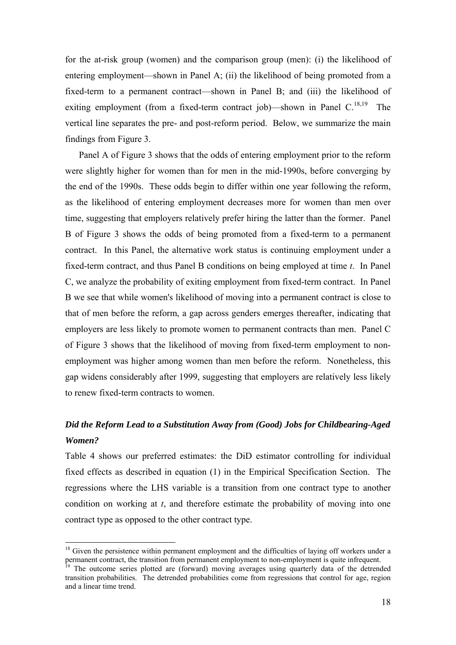for the at-risk group (women) and the comparison group (men): (i) the likelihood of entering employment—shown in Panel A; (ii) the likelihood of being promoted from a fixed-term to a permanent contract—shown in Panel B; and (iii) the likelihood of exiting employment (from a fixed-term contract job)—shown in Panel  $C^{18,19}$  The vertical line separates the pre- and post-reform period. Below, we summarize the main findings from Figure 3.

Panel A of Figure 3 shows that the odds of entering employment prior to the reform were slightly higher for women than for men in the mid-1990s, before converging by the end of the 1990s. These odds begin to differ within one year following the reform, as the likelihood of entering employment decreases more for women than men over time, suggesting that employers relatively prefer hiring the latter than the former. Panel B of Figure 3 shows the odds of being promoted from a fixed-term to a permanent contract. In this Panel, the alternative work status is continuing employment under a fixed-term contract, and thus Panel B conditions on being employed at time *t*. In Panel C, we analyze the probability of exiting employment from fixed-term contract. In Panel B we see that while women's likelihood of moving into a permanent contract is close to that of men before the reform, a gap across genders emerges thereafter, indicating that employers are less likely to promote women to permanent contracts than men. Panel C of Figure 3 shows that the likelihood of moving from fixed-term employment to nonemployment was higher among women than men before the reform. Nonetheless, this gap widens considerably after 1999, suggesting that employers are relatively less likely to renew fixed-term contracts to women.

# *Did the Reform Lead to a Substitution Away from (Good) Jobs for Childbearing-Aged Women?*

Table 4 shows our preferred estimates: the DiD estimator controlling for individual fixed effects as described in equation (1) in the Empirical Specification Section. The regressions where the LHS variable is a transition from one contract type to another condition on working at *t*, and therefore estimate the probability of moving into one contract type as opposed to the other contract type.

 $18$  Given the persistence within permanent employment and the difficulties of laying off workers under a permanent contract, the transition from permanent employment to non-employment is quite infrequent.

<sup>&</sup>lt;sup>19</sup> The outcome series plotted are (forward) moving averages using quarterly data of the detrended transition probabilities. The detrended probabilities come from regressions that control for age, region and a linear time trend.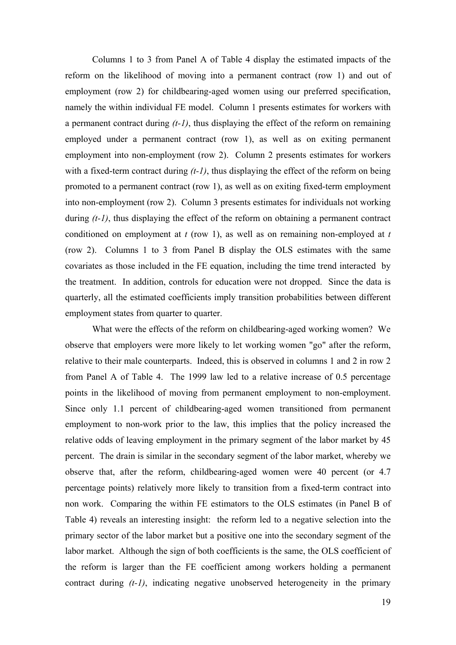Columns 1 to 3 from Panel A of Table 4 display the estimated impacts of the reform on the likelihood of moving into a permanent contract (row 1) and out of employment (row 2) for childbearing-aged women using our preferred specification, namely the within individual FE model. Column 1 presents estimates for workers with a permanent contract during *(t-1)*, thus displaying the effect of the reform on remaining employed under a permanent contract (row 1), as well as on exiting permanent employment into non-employment (row 2). Column 2 presents estimates for workers with a fixed-term contract during *(t-1)*, thus displaying the effect of the reform on being promoted to a permanent contract (row 1), as well as on exiting fixed-term employment into non-employment (row 2). Column 3 presents estimates for individuals not working during  $(t-1)$ , thus displaying the effect of the reform on obtaining a permanent contract conditioned on employment at *t* (row 1), as well as on remaining non-employed at *t* (row 2). Columns 1 to 3 from Panel B display the OLS estimates with the same covariates as those included in the FE equation, including the time trend interacted by the treatment. In addition, controls for education were not dropped. Since the data is quarterly, all the estimated coefficients imply transition probabilities between different employment states from quarter to quarter.

 What were the effects of the reform on childbearing-aged working women? We observe that employers were more likely to let working women "go" after the reform, relative to their male counterparts. Indeed, this is observed in columns 1 and 2 in row 2 from Panel A of Table 4. The 1999 law led to a relative increase of 0.5 percentage points in the likelihood of moving from permanent employment to non-employment. Since only 1.1 percent of childbearing-aged women transitioned from permanent employment to non-work prior to the law, this implies that the policy increased the relative odds of leaving employment in the primary segment of the labor market by 45 percent. The drain is similar in the secondary segment of the labor market, whereby we observe that, after the reform, childbearing-aged women were 40 percent (or 4.7 percentage points) relatively more likely to transition from a fixed-term contract into non work. Comparing the within FE estimators to the OLS estimates (in Panel B of Table 4) reveals an interesting insight: the reform led to a negative selection into the primary sector of the labor market but a positive one into the secondary segment of the labor market. Although the sign of both coefficients is the same, the OLS coefficient of the reform is larger than the FE coefficient among workers holding a permanent contract during *(t-1)*, indicating negative unobserved heterogeneity in the primary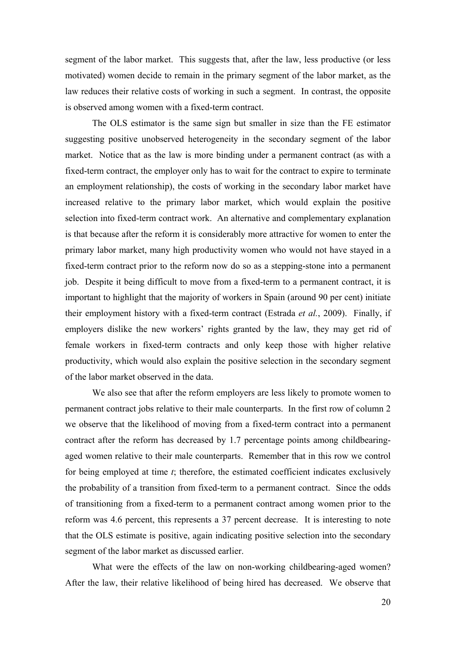segment of the labor market. This suggests that, after the law, less productive (or less motivated) women decide to remain in the primary segment of the labor market, as the law reduces their relative costs of working in such a segment. In contrast, the opposite is observed among women with a fixed-term contract.

The OLS estimator is the same sign but smaller in size than the FE estimator suggesting positive unobserved heterogeneity in the secondary segment of the labor market. Notice that as the law is more binding under a permanent contract (as with a fixed-term contract, the employer only has to wait for the contract to expire to terminate an employment relationship), the costs of working in the secondary labor market have increased relative to the primary labor market, which would explain the positive selection into fixed-term contract work. An alternative and complementary explanation is that because after the reform it is considerably more attractive for women to enter the primary labor market, many high productivity women who would not have stayed in a fixed-term contract prior to the reform now do so as a stepping-stone into a permanent job. Despite it being difficult to move from a fixed-term to a permanent contract, it is important to highlight that the majority of workers in Spain (around 90 per cent) initiate their employment history with a fixed-term contract (Estrada *et al.*, 2009). Finally, if employers dislike the new workers' rights granted by the law, they may get rid of female workers in fixed-term contracts and only keep those with higher relative productivity, which would also explain the positive selection in the secondary segment of the labor market observed in the data.

 We also see that after the reform employers are less likely to promote women to permanent contract jobs relative to their male counterparts. In the first row of column 2 we observe that the likelihood of moving from a fixed-term contract into a permanent contract after the reform has decreased by 1.7 percentage points among childbearingaged women relative to their male counterparts. Remember that in this row we control for being employed at time *t*; therefore, the estimated coefficient indicates exclusively the probability of a transition from fixed-term to a permanent contract. Since the odds of transitioning from a fixed-term to a permanent contract among women prior to the reform was 4.6 percent, this represents a 37 percent decrease. It is interesting to note that the OLS estimate is positive, again indicating positive selection into the secondary segment of the labor market as discussed earlier.

 What were the effects of the law on non-working childbearing-aged women? After the law, their relative likelihood of being hired has decreased. We observe that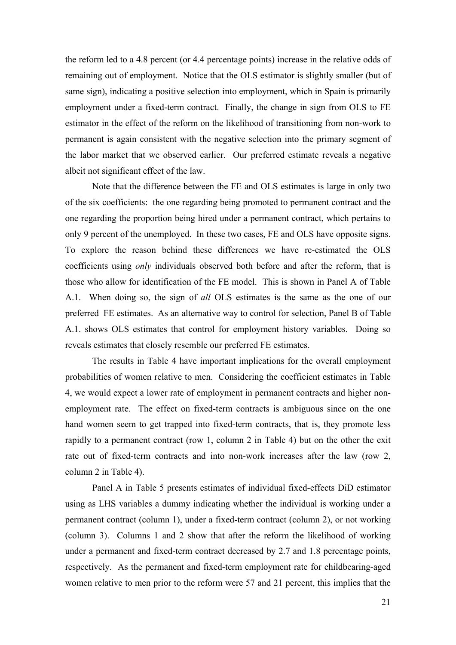the reform led to a 4.8 percent (or 4.4 percentage points) increase in the relative odds of remaining out of employment. Notice that the OLS estimator is slightly smaller (but of same sign), indicating a positive selection into employment, which in Spain is primarily employment under a fixed-term contract. Finally, the change in sign from OLS to FE estimator in the effect of the reform on the likelihood of transitioning from non-work to permanent is again consistent with the negative selection into the primary segment of the labor market that we observed earlier. Our preferred estimate reveals a negative albeit not significant effect of the law.

 Note that the difference between the FE and OLS estimates is large in only two of the six coefficients: the one regarding being promoted to permanent contract and the one regarding the proportion being hired under a permanent contract, which pertains to only 9 percent of the unemployed. In these two cases, FE and OLS have opposite signs. To explore the reason behind these differences we have re-estimated the OLS coefficients using *only* individuals observed both before and after the reform, that is those who allow for identification of the FE model. This is shown in Panel A of Table A.1. When doing so, the sign of *all* OLS estimates is the same as the one of our preferred FE estimates. As an alternative way to control for selection, Panel B of Table A.1. shows OLS estimates that control for employment history variables. Doing so reveals estimates that closely resemble our preferred FE estimates.

 The results in Table 4 have important implications for the overall employment probabilities of women relative to men. Considering the coefficient estimates in Table 4, we would expect a lower rate of employment in permanent contracts and higher nonemployment rate. The effect on fixed-term contracts is ambiguous since on the one hand women seem to get trapped into fixed-term contracts, that is, they promote less rapidly to a permanent contract (row 1, column 2 in Table 4) but on the other the exit rate out of fixed-term contracts and into non-work increases after the law (row 2, column 2 in Table 4).

 Panel A in Table 5 presents estimates of individual fixed-effects DiD estimator using as LHS variables a dummy indicating whether the individual is working under a permanent contract (column 1), under a fixed-term contract (column 2), or not working (column 3). Columns 1 and 2 show that after the reform the likelihood of working under a permanent and fixed-term contract decreased by 2.7 and 1.8 percentage points, respectively. As the permanent and fixed-term employment rate for childbearing-aged women relative to men prior to the reform were 57 and 21 percent, this implies that the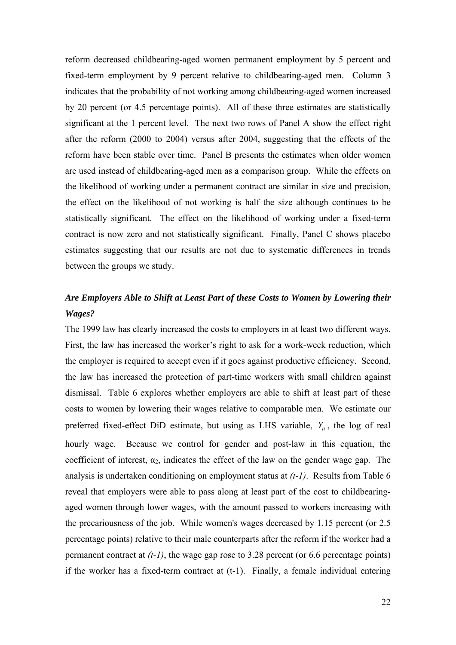reform decreased childbearing-aged women permanent employment by 5 percent and fixed-term employment by 9 percent relative to childbearing-aged men. Column 3 indicates that the probability of not working among childbearing-aged women increased by 20 percent (or 4.5 percentage points). All of these three estimates are statistically significant at the 1 percent level. The next two rows of Panel A show the effect right after the reform (2000 to 2004) versus after 2004, suggesting that the effects of the reform have been stable over time. Panel B presents the estimates when older women are used instead of childbearing-aged men as a comparison group. While the effects on the likelihood of working under a permanent contract are similar in size and precision, the effect on the likelihood of not working is half the size although continues to be statistically significant. The effect on the likelihood of working under a fixed-term contract is now zero and not statistically significant. Finally, Panel C shows placebo estimates suggesting that our results are not due to systematic differences in trends between the groups we study.

## *Are Employers Able to Shift at Least Part of these Costs to Women by Lowering their Wages?*

The 1999 law has clearly increased the costs to employers in at least two different ways. First, the law has increased the worker's right to ask for a work-week reduction, which the employer is required to accept even if it goes against productive efficiency. Second, the law has increased the protection of part-time workers with small children against dismissal. Table 6 explores whether employers are able to shift at least part of these costs to women by lowering their wages relative to comparable men. We estimate our preferred fixed-effect DiD estimate, but using as LHS variable,  $Y_{ii}$ , the log of real hourly wage. Because we control for gender and post-law in this equation, the coefficient of interest,  $\alpha_2$ , indicates the effect of the law on the gender wage gap. The analysis is undertaken conditioning on employment status at *(t-1)*. Results from Table 6 reveal that employers were able to pass along at least part of the cost to childbearingaged women through lower wages, with the amount passed to workers increasing with the precariousness of the job. While women's wages decreased by 1.15 percent (or 2.5 percentage points) relative to their male counterparts after the reform if the worker had a permanent contract at  $(t-1)$ , the wage gap rose to 3.28 percent (or 6.6 percentage points) if the worker has a fixed-term contract at (t-1). Finally, a female individual entering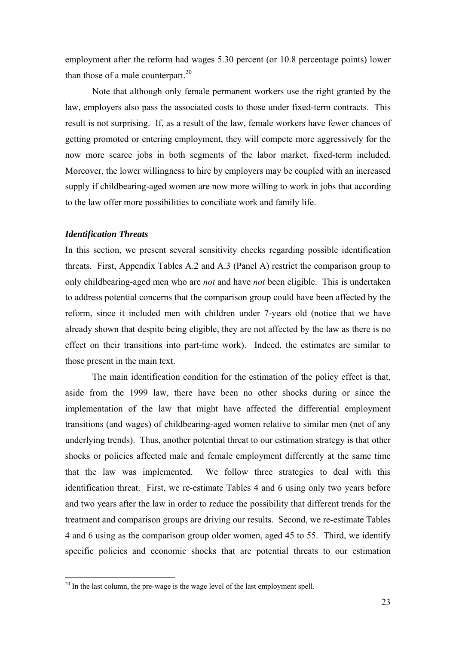employment after the reform had wages 5.30 percent (or 10.8 percentage points) lower than those of a male counterpart.<sup>20</sup>

 Note that although only female permanent workers use the right granted by the law, employers also pass the associated costs to those under fixed-term contracts. This result is not surprising. If, as a result of the law, female workers have fewer chances of getting promoted or entering employment, they will compete more aggressively for the now more scarce jobs in both segments of the labor market, fixed-term included. Moreover, the lower willingness to hire by employers may be coupled with an increased supply if childbearing-aged women are now more willing to work in jobs that according to the law offer more possibilities to conciliate work and family life.

#### *Identification Threats*

1

In this section, we present several sensitivity checks regarding possible identification threats. First, Appendix Tables A.2 and A.3 (Panel A) restrict the comparison group to only childbearing-aged men who are *not* and have *not* been eligible. This is undertaken to address potential concerns that the comparison group could have been affected by the reform, since it included men with children under 7-years old (notice that we have already shown that despite being eligible, they are not affected by the law as there is no effect on their transitions into part-time work). Indeed, the estimates are similar to those present in the main text.

 The main identification condition for the estimation of the policy effect is that, aside from the 1999 law, there have been no other shocks during or since the implementation of the law that might have affected the differential employment transitions (and wages) of childbearing-aged women relative to similar men (net of any underlying trends). Thus, another potential threat to our estimation strategy is that other shocks or policies affected male and female employment differently at the same time that the law was implemented. We follow three strategies to deal with this identification threat. First, we re-estimate Tables 4 and 6 using only two years before and two years after the law in order to reduce the possibility that different trends for the treatment and comparison groups are driving our results. Second, we re-estimate Tables 4 and 6 using as the comparison group older women, aged 45 to 55. Third, we identify specific policies and economic shocks that are potential threats to our estimation

 $20$  In the last column, the pre-wage is the wage level of the last employment spell.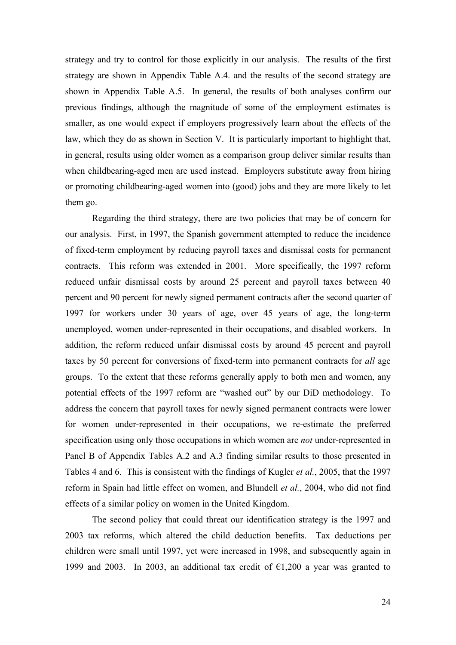strategy and try to control for those explicitly in our analysis. The results of the first strategy are shown in Appendix Table A.4. and the results of the second strategy are shown in Appendix Table A.5. In general, the results of both analyses confirm our previous findings, although the magnitude of some of the employment estimates is smaller, as one would expect if employers progressively learn about the effects of the law, which they do as shown in Section V. It is particularly important to highlight that, in general, results using older women as a comparison group deliver similar results than when childbearing-aged men are used instead. Employers substitute away from hiring or promoting childbearing-aged women into (good) jobs and they are more likely to let them go.

Regarding the third strategy, there are two policies that may be of concern for our analysis. First, in 1997, the Spanish government attempted to reduce the incidence of fixed-term employment by reducing payroll taxes and dismissal costs for permanent contracts. This reform was extended in 2001. More specifically, the 1997 reform reduced unfair dismissal costs by around 25 percent and payroll taxes between 40 percent and 90 percent for newly signed permanent contracts after the second quarter of 1997 for workers under 30 years of age, over 45 years of age, the long-term unemployed, women under-represented in their occupations, and disabled workers. In addition, the reform reduced unfair dismissal costs by around 45 percent and payroll taxes by 50 percent for conversions of fixed-term into permanent contracts for *all* age groups. To the extent that these reforms generally apply to both men and women, any potential effects of the 1997 reform are "washed out" by our DiD methodology. To address the concern that payroll taxes for newly signed permanent contracts were lower for women under-represented in their occupations, we re-estimate the preferred specification using only those occupations in which women are *not* under-represented in Panel B of Appendix Tables A.2 and A.3 finding similar results to those presented in Tables 4 and 6. This is consistent with the findings of Kugler *et al.*, 2005, that the 1997 reform in Spain had little effect on women, and Blundell *et al.*, 2004, who did not find effects of a similar policy on women in the United Kingdom.

 The second policy that could threat our identification strategy is the 1997 and 2003 tax reforms, which altered the child deduction benefits. Tax deductions per children were small until 1997, yet were increased in 1998, and subsequently again in 1999 and 2003. In 2003, an additional tax credit of  $\epsilon$ 1,200 a year was granted to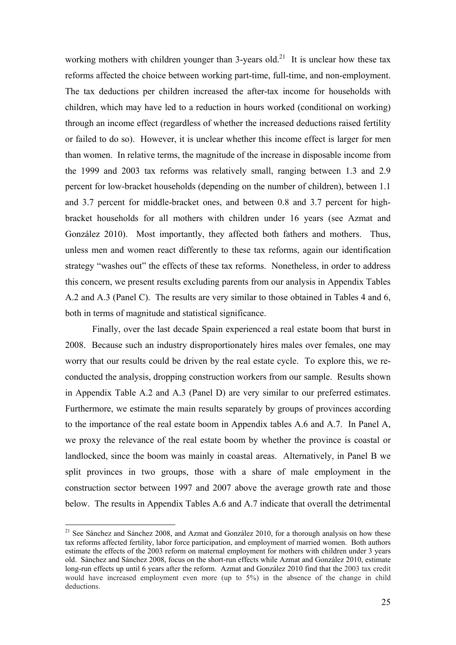working mothers with children younger than 3-years old.<sup>21</sup> It is unclear how these tax reforms affected the choice between working part-time, full-time, and non-employment. The tax deductions per children increased the after-tax income for households with children, which may have led to a reduction in hours worked (conditional on working) through an income effect (regardless of whether the increased deductions raised fertility or failed to do so). However, it is unclear whether this income effect is larger for men than women. In relative terms, the magnitude of the increase in disposable income from the 1999 and 2003 tax reforms was relatively small, ranging between 1.3 and 2.9 percent for low-bracket households (depending on the number of children), between 1.1 and 3.7 percent for middle-bracket ones, and between 0.8 and 3.7 percent for highbracket households for all mothers with children under 16 years (see Azmat and González 2010). Most importantly, they affected both fathers and mothers. Thus, unless men and women react differently to these tax reforms, again our identification strategy "washes out" the effects of these tax reforms. Nonetheless, in order to address this concern, we present results excluding parents from our analysis in Appendix Tables A.2 and A.3 (Panel C). The results are very similar to those obtained in Tables 4 and 6, both in terms of magnitude and statistical significance.

 Finally, over the last decade Spain experienced a real estate boom that burst in 2008. Because such an industry disproportionately hires males over females, one may worry that our results could be driven by the real estate cycle. To explore this, we reconducted the analysis, dropping construction workers from our sample. Results shown in Appendix Table A.2 and A.3 (Panel D) are very similar to our preferred estimates. Furthermore, we estimate the main results separately by groups of provinces according to the importance of the real estate boom in Appendix tables A.6 and A.7. In Panel A, we proxy the relevance of the real estate boom by whether the province is coastal or landlocked, since the boom was mainly in coastal areas. Alternatively, in Panel B we split provinces in two groups, those with a share of male employment in the construction sector between 1997 and 2007 above the average growth rate and those below. The results in Appendix Tables A.6 and A.7 indicate that overall the detrimental

 $^{21}$  See Sánchez and Sánchez 2008, and Azmat and González 2010, for a thorough analysis on how these tax reforms affected fertility, labor force participation, and employment of married women. Both authors estimate the effects of the 2003 reform on maternal employment for mothers with children under 3 years old. Sánchez and Sánchez 2008, focus on the short-run effects while Azmat and González 2010, estimate long-run effects up until 6 years after the reform. Azmat and González 2010 find that the 2003 tax credit would have increased employment even more (up to 5%) in the absence of the change in child deductions.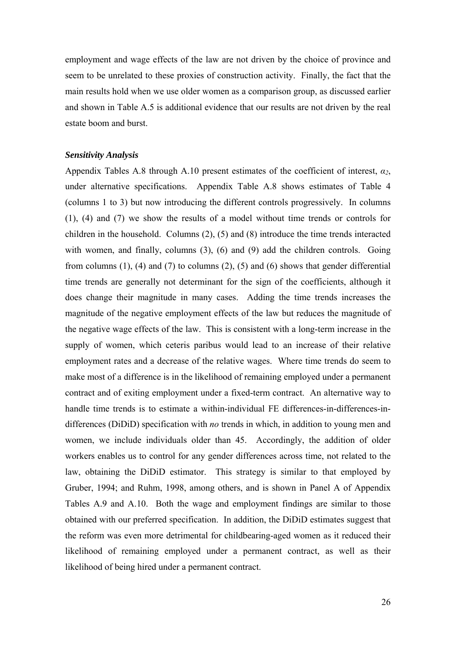employment and wage effects of the law are not driven by the choice of province and seem to be unrelated to these proxies of construction activity. Finally, the fact that the main results hold when we use older women as a comparison group, as discussed earlier and shown in Table A.5 is additional evidence that our results are not driven by the real estate boom and burst.

#### *Sensitivity Analysis*

Appendix Tables A.8 through A.10 present estimates of the coefficient of interest, *α2*, under alternative specifications. Appendix Table A.8 shows estimates of Table 4 (columns 1 to 3) but now introducing the different controls progressively. In columns (1), (4) and (7) we show the results of a model without time trends or controls for children in the household. Columns (2), (5) and (8) introduce the time trends interacted with women, and finally, columns (3), (6) and (9) add the children controls. Going from columns (1), (4) and (7) to columns (2), (5) and (6) shows that gender differential time trends are generally not determinant for the sign of the coefficients, although it does change their magnitude in many cases. Adding the time trends increases the magnitude of the negative employment effects of the law but reduces the magnitude of the negative wage effects of the law. This is consistent with a long-term increase in the supply of women, which ceteris paribus would lead to an increase of their relative employment rates and a decrease of the relative wages. Where time trends do seem to make most of a difference is in the likelihood of remaining employed under a permanent contract and of exiting employment under a fixed-term contract. An alternative way to handle time trends is to estimate a within-individual FE differences-in-differences-indifferences (DiDiD) specification with *no* trends in which, in addition to young men and women, we include individuals older than 45. Accordingly, the addition of older workers enables us to control for any gender differences across time, not related to the law, obtaining the DiDiD estimator. This strategy is similar to that employed by Gruber, 1994; and Ruhm, 1998, among others, and is shown in Panel A of Appendix Tables A.9 and A.10. Both the wage and employment findings are similar to those obtained with our preferred specification. In addition, the DiDiD estimates suggest that the reform was even more detrimental for childbearing-aged women as it reduced their likelihood of remaining employed under a permanent contract, as well as their likelihood of being hired under a permanent contract.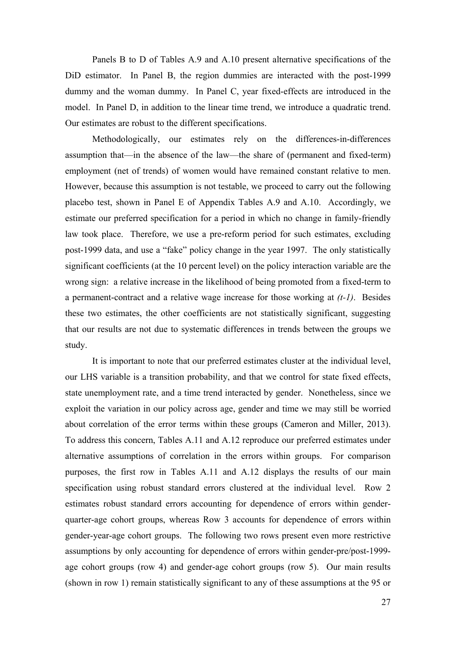Panels B to D of Tables A.9 and A.10 present alternative specifications of the DiD estimator. In Panel B, the region dummies are interacted with the post-1999 dummy and the woman dummy. In Panel C, year fixed-effects are introduced in the model. In Panel D, in addition to the linear time trend, we introduce a quadratic trend. Our estimates are robust to the different specifications.

Methodologically, our estimates rely on the differences-in-differences assumption that—in the absence of the law—the share of (permanent and fixed-term) employment (net of trends) of women would have remained constant relative to men. However, because this assumption is not testable, we proceed to carry out the following placebo test, shown in Panel E of Appendix Tables A.9 and A.10. Accordingly, we estimate our preferred specification for a period in which no change in family-friendly law took place. Therefore, we use a pre-reform period for such estimates, excluding post-1999 data, and use a "fake" policy change in the year 1997. The only statistically significant coefficients (at the 10 percent level) on the policy interaction variable are the wrong sign: a relative increase in the likelihood of being promoted from a fixed-term to a permanent-contract and a relative wage increase for those working at *(t-1)*. Besides these two estimates, the other coefficients are not statistically significant, suggesting that our results are not due to systematic differences in trends between the groups we study.

It is important to note that our preferred estimates cluster at the individual level, our LHS variable is a transition probability, and that we control for state fixed effects, state unemployment rate, and a time trend interacted by gender. Nonetheless, since we exploit the variation in our policy across age, gender and time we may still be worried about correlation of the error terms within these groups (Cameron and Miller, 2013). To address this concern, Tables A.11 and A.12 reproduce our preferred estimates under alternative assumptions of correlation in the errors within groups. For comparison purposes, the first row in Tables A.11 and A.12 displays the results of our main specification using robust standard errors clustered at the individual level. Row 2 estimates robust standard errors accounting for dependence of errors within genderquarter-age cohort groups, whereas Row 3 accounts for dependence of errors within gender-year-age cohort groups. The following two rows present even more restrictive assumptions by only accounting for dependence of errors within gender-pre/post-1999 age cohort groups (row 4) and gender-age cohort groups (row 5). Our main results (shown in row 1) remain statistically significant to any of these assumptions at the 95 or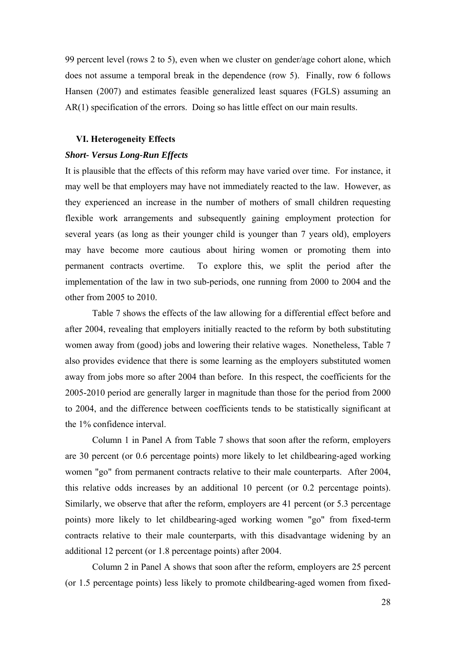99 percent level (rows 2 to 5), even when we cluster on gender/age cohort alone, which does not assume a temporal break in the dependence (row 5). Finally, row 6 follows Hansen (2007) and estimates feasible generalized least squares (FGLS) assuming an AR(1) specification of the errors. Doing so has little effect on our main results.

#### **VI. Heterogeneity Effects**

#### *Short- Versus Long-Run Effects*

It is plausible that the effects of this reform may have varied over time. For instance, it may well be that employers may have not immediately reacted to the law. However, as they experienced an increase in the number of mothers of small children requesting flexible work arrangements and subsequently gaining employment protection for several years (as long as their younger child is younger than 7 years old), employers may have become more cautious about hiring women or promoting them into permanent contracts overtime. To explore this, we split the period after the implementation of the law in two sub-periods, one running from 2000 to 2004 and the other from 2005 to 2010.

Table 7 shows the effects of the law allowing for a differential effect before and after 2004, revealing that employers initially reacted to the reform by both substituting women away from (good) jobs and lowering their relative wages. Nonetheless, Table 7 also provides evidence that there is some learning as the employers substituted women away from jobs more so after 2004 than before. In this respect, the coefficients for the 2005-2010 period are generally larger in magnitude than those for the period from 2000 to 2004, and the difference between coefficients tends to be statistically significant at the 1% confidence interval.

 Column 1 in Panel A from Table 7 shows that soon after the reform, employers are 30 percent (or 0.6 percentage points) more likely to let childbearing-aged working women "go" from permanent contracts relative to their male counterparts. After 2004, this relative odds increases by an additional 10 percent (or 0.2 percentage points). Similarly, we observe that after the reform, employers are 41 percent (or 5.3 percentage points) more likely to let childbearing-aged working women "go" from fixed-term contracts relative to their male counterparts, with this disadvantage widening by an additional 12 percent (or 1.8 percentage points) after 2004.

 Column 2 in Panel A shows that soon after the reform, employers are 25 percent (or 1.5 percentage points) less likely to promote childbearing-aged women from fixed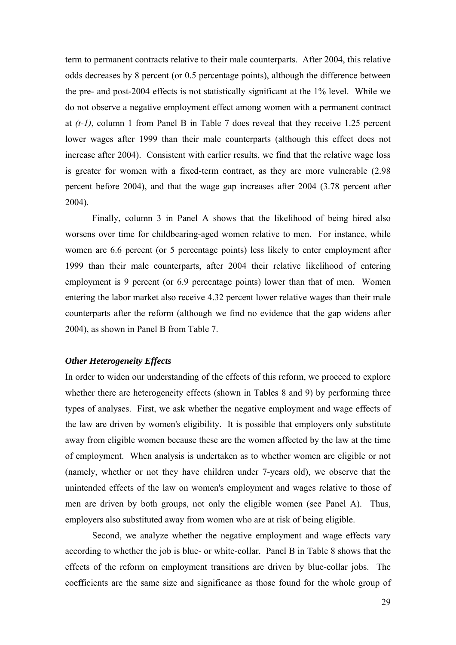term to permanent contracts relative to their male counterparts. After 2004, this relative odds decreases by 8 percent (or 0.5 percentage points), although the difference between the pre- and post-2004 effects is not statistically significant at the 1% level. While we do not observe a negative employment effect among women with a permanent contract at *(t-1)*, column 1 from Panel B in Table 7 does reveal that they receive 1.25 percent lower wages after 1999 than their male counterparts (although this effect does not increase after 2004). Consistent with earlier results, we find that the relative wage loss is greater for women with a fixed-term contract, as they are more vulnerable (2.98 percent before 2004), and that the wage gap increases after 2004 (3.78 percent after 2004).

 Finally, column 3 in Panel A shows that the likelihood of being hired also worsens over time for childbearing-aged women relative to men. For instance, while women are 6.6 percent (or 5 percentage points) less likely to enter employment after 1999 than their male counterparts, after 2004 their relative likelihood of entering employment is 9 percent (or 6.9 percentage points) lower than that of men. Women entering the labor market also receive 4.32 percent lower relative wages than their male counterparts after the reform (although we find no evidence that the gap widens after 2004), as shown in Panel B from Table 7.

#### *Other Heterogeneity Effects*

In order to widen our understanding of the effects of this reform, we proceed to explore whether there are heterogeneity effects (shown in Tables 8 and 9) by performing three types of analyses. First, we ask whether the negative employment and wage effects of the law are driven by women's eligibility. It is possible that employers only substitute away from eligible women because these are the women affected by the law at the time of employment. When analysis is undertaken as to whether women are eligible or not (namely, whether or not they have children under 7-years old), we observe that the unintended effects of the law on women's employment and wages relative to those of men are driven by both groups, not only the eligible women (see Panel A). Thus, employers also substituted away from women who are at risk of being eligible.

 Second, we analyze whether the negative employment and wage effects vary according to whether the job is blue- or white-collar. Panel B in Table 8 shows that the effects of the reform on employment transitions are driven by blue-collar jobs. The coefficients are the same size and significance as those found for the whole group of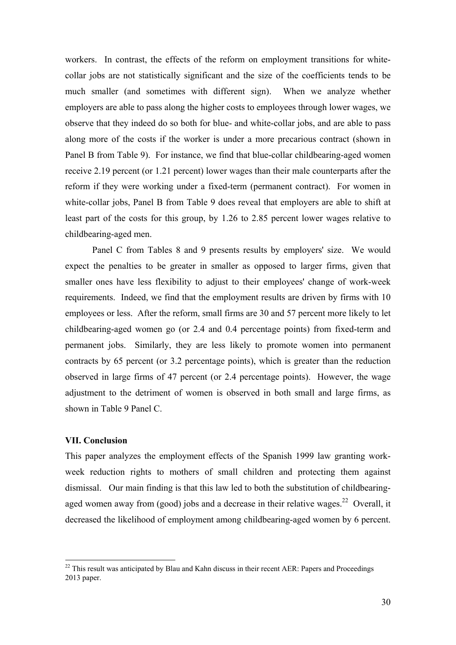workers. In contrast, the effects of the reform on employment transitions for whitecollar jobs are not statistically significant and the size of the coefficients tends to be much smaller (and sometimes with different sign). When we analyze whether employers are able to pass along the higher costs to employees through lower wages, we observe that they indeed do so both for blue- and white-collar jobs, and are able to pass along more of the costs if the worker is under a more precarious contract (shown in Panel B from Table 9). For instance, we find that blue-collar childbearing-aged women receive 2.19 percent (or 1.21 percent) lower wages than their male counterparts after the reform if they were working under a fixed-term (permanent contract). For women in white-collar jobs, Panel B from Table 9 does reveal that employers are able to shift at least part of the costs for this group, by 1.26 to 2.85 percent lower wages relative to childbearing-aged men.

 Panel C from Tables 8 and 9 presents results by employers' size. We would expect the penalties to be greater in smaller as opposed to larger firms, given that smaller ones have less flexibility to adjust to their employees' change of work-week requirements. Indeed, we find that the employment results are driven by firms with 10 employees or less. After the reform, small firms are 30 and 57 percent more likely to let childbearing-aged women go (or 2.4 and 0.4 percentage points) from fixed-term and permanent jobs. Similarly, they are less likely to promote women into permanent contracts by 65 percent (or 3.2 percentage points), which is greater than the reduction observed in large firms of 47 percent (or 2.4 percentage points). However, the wage adjustment to the detriment of women is observed in both small and large firms, as shown in Table 9 Panel C.

#### **VII. Conclusion**

1

This paper analyzes the employment effects of the Spanish 1999 law granting workweek reduction rights to mothers of small children and protecting them against dismissal. Our main finding is that this law led to both the substitution of childbearingaged women away from (good) jobs and a decrease in their relative wages.<sup>22</sup> Overall, it decreased the likelihood of employment among childbearing-aged women by 6 percent.

 $22$  This result was anticipated by Blau and Kahn discuss in their recent AER: Papers and Proceedings 2013 paper.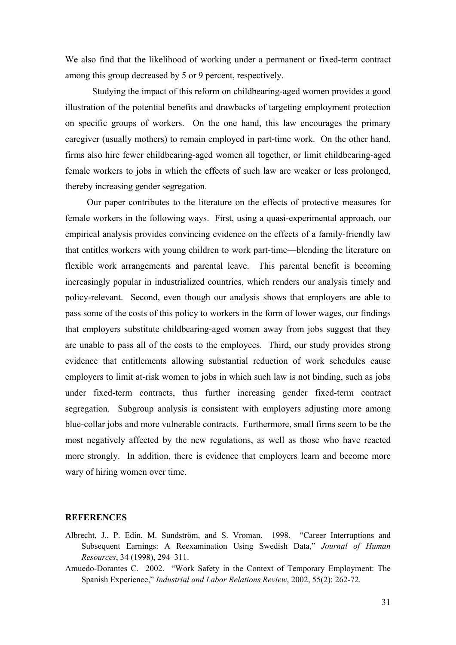We also find that the likelihood of working under a permanent or fixed-term contract among this group decreased by 5 or 9 percent, respectively.

Studying the impact of this reform on childbearing-aged women provides a good illustration of the potential benefits and drawbacks of targeting employment protection on specific groups of workers. On the one hand, this law encourages the primary caregiver (usually mothers) to remain employed in part-time work. On the other hand, firms also hire fewer childbearing-aged women all together, or limit childbearing-aged female workers to jobs in which the effects of such law are weaker or less prolonged, thereby increasing gender segregation.

Our paper contributes to the literature on the effects of protective measures for female workers in the following ways. First, using a quasi-experimental approach, our empirical analysis provides convincing evidence on the effects of a family-friendly law that entitles workers with young children to work part-time—blending the literature on flexible work arrangements and parental leave. This parental benefit is becoming increasingly popular in industrialized countries, which renders our analysis timely and policy-relevant. Second, even though our analysis shows that employers are able to pass some of the costs of this policy to workers in the form of lower wages, our findings that employers substitute childbearing-aged women away from jobs suggest that they are unable to pass all of the costs to the employees. Third, our study provides strong evidence that entitlements allowing substantial reduction of work schedules cause employers to limit at-risk women to jobs in which such law is not binding, such as jobs under fixed-term contracts, thus further increasing gender fixed-term contract segregation. Subgroup analysis is consistent with employers adjusting more among blue-collar jobs and more vulnerable contracts. Furthermore, small firms seem to be the most negatively affected by the new regulations, as well as those who have reacted more strongly. In addition, there is evidence that employers learn and become more wary of hiring women over time.

#### **REFERENCES**

- Albrecht, J., P. Edin, M. Sundström, and S. Vroman. 1998. "Career Interruptions and Subsequent Earnings: A Reexamination Using Swedish Data," *Journal of Human Resources*, 34 (1998), 294–311.
- Amuedo-Dorantes C. 2002. "Work Safety in the Context of Temporary Employment: The Spanish Experience," *Industrial and Labor Relations Review*, 2002, 55(2): 262-72.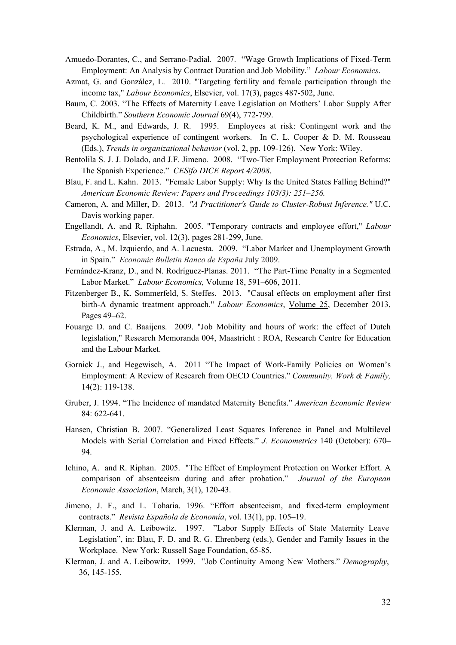- Amuedo-Dorantes, C., and Serrano-Padial. 2007. "Wage Growth Implications of Fixed-Term Employment: An Analysis by Contract Duration and Job Mobility." *Labour Economics*.
- Azmat, G. and González, L. 2010. "Targeting fertility and female participation through the income tax," *Labour Economics*, Elsevier, vol. 17(3), pages 487-502, June.
- Baum, C. 2003. "The Effects of Maternity Leave Legislation on Mothers' Labor Supply After Childbirth." *Southern Economic Journal* 69(4), 772-799.
- Beard, K. M., and Edwards, J. R. 1995. Employees at risk: Contingent work and the psychological experience of contingent workers. In C. L. Cooper & D. M. Rousseau (Eds.), *Trends in organizational behavior* (vol. 2, pp. 109-126). New York: Wiley.
- Bentolila S. J. J. Dolado, and J.F. Jimeno. 2008. "Two-Tier Employment Protection Reforms: The Spanish Experience." *CESifo DICE Report 4/2008*.
- Blau, F. and L. Kahn. 2013. "Female Labor Supply: Why Is the United States Falling Behind?" *American Economic Review: Papers and Proceedings 103(3): 251–256.*
- Cameron, A. and Miller, D. 2013. *"A Practitioner's Guide to Cluster-Robust Inference."* U.C. Davis working paper.
- Engellandt, A. and R. Riphahn. 2005. "Temporary contracts and employee effort," *Labour Economics*, Elsevier, vol. 12(3), pages 281-299, June.
- Estrada, A., M. Izquierdo, and A. Lacuesta. 2009. "Labor Market and Unemployment Growth in Spain." *Economic Bulletin Banco de España* July 2009.
- Fernández-Kranz, D., and N. Rodríguez-Planas. 2011. "The Part-Time Penalty in a Segmented Labor Market." *Labour Economics,* Volume 18, 591–606, 2011*.*
- Fitzenberger B., K. Sommerfeld, S. Steffes. 2013. "Causal effects on employment after first birth-A dynamic treatment approach." *Labour Economics*, Volume 25, December 2013, Pages 49–62.
- Fouarge D. and C. Baaijens. 2009. "Job Mobility and hours of work: the effect of Dutch legislation," Research Memoranda 004, Maastricht : ROA, Research Centre for Education and the Labour Market.
- Gornick J., and Hegewisch, A. 2011 "The Impact of Work-Family Policies on Women's Employment: A Review of Research from OECD Countries." *Community, Work & Family,*  14(2): 119-138.
- Gruber, J. 1994. "The Incidence of mandated Maternity Benefits." *American Economic Review* 84: 622-641.
- Hansen, Christian B. 2007. "Generalized Least Squares Inference in Panel and Multilevel Models with Serial Correlation and Fixed Effects." *J. Econometrics* 140 (October): 670– 94.
- Ichino, A. and R. Riphan. 2005. "The Effect of Employment Protection on Worker Effort. A comparison of absenteeism during and after probation." *Journal of the European Economic Association*, March, 3(1), 120-43.
- Jimeno, J. F., and L. Toharia. 1996. "Effort absenteeism, and fixed-term employment contracts." *Revista Española de Economía*, vol. 13(1), pp. 105–19.
- Klerman, J. and A. Leibowitz. 1997. "Labor Supply Effects of State Maternity Leave Legislation", in: Blau, F. D. and R. G. Ehrenberg (eds.), Gender and Family Issues in the Workplace. New York: Russell Sage Foundation, 65-85.
- Klerman, J. and A. Leibowitz. 1999. "Job Continuity Among New Mothers." *Demography*, 36, 145-155.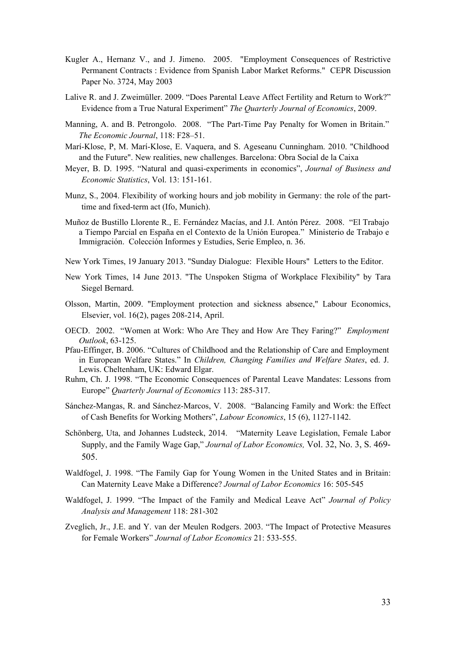- Kugler A., Hernanz V., and J. Jimeno. 2005. "Employment Consequences of Restrictive Permanent Contracts : Evidence from Spanish Labor Market Reforms." CEPR Discussion Paper No. 3724, May 2003
- Lalive R. and J. Zweimüller. 2009. "Does Parental Leave Affect Fertility and Return to Work?" Evidence from a True Natural Experiment" *The Quarterly Journal of Economics*, 2009.
- Manning, A. and B. Petrongolo. 2008. "The Part-Time Pay Penalty for Women in Britain." *The Economic Journal*, 118: F28–51.
- Marí-Klose, P, M. Marí-Klose, E. Vaquera, and S. Ageseanu Cunningham. 2010. "Childhood and the Future". New realities, new challenges. Barcelona: Obra Social de la Caixa
- Meyer, B. D. 1995. "Natural and quasi-experiments in economics", *Journal of Business and Economic Statistics*, Vol. 13: 151-161.
- Munz, S., 2004. Flexibility of working hours and job mobility in Germany: the role of the parttime and fixed-term act (Ifo, Munich).
- Muñoz de Bustillo Llorente R., E. Fernández Macías, and J.I. Antón Pérez. 2008. "El Trabajo a Tiempo Parcial en España en el Contexto de la Unión Europea." Ministerio de Trabajo e Immigración. Colección Informes y Estudies, Serie Empleo, n. 36.
- New York Times, 19 January 2013. "Sunday Dialogue: Flexible Hours" Letters to the Editor.
- New York Times, 14 June 2013. "The Unspoken Stigma of Workplace Flexibility" by Tara Siegel Bernard.
- Olsson, Martin, 2009. "Employment protection and sickness absence," Labour Economics, Elsevier, vol. 16(2), pages 208-214, April.
- OECD. 2002. "Women at Work: Who Are They and How Are They Faring?" *Employment Outlook*, 63-125.
- Pfau-Effinger, B. 2006. "Cultures of Childhood and the Relationship of Care and Employment in European Welfare States." In *Children, Changing Families and Welfare States*, ed. J. Lewis. Cheltenham, UK: Edward Elgar.
- Ruhm, Ch. J. 1998. "The Economic Consequences of Parental Leave Mandates: Lessons from Europe" *Quarterly Journal of Economics* 113: 285-317.
- Sánchez-Mangas, R. and Sánchez-Marcos, V. 2008. "Balancing Family and Work: the Effect of Cash Benefits for Working Mothers", *Labour Economics*, 15 (6), 1127-1142.
- Schönberg, Uta, and Johannes Ludsteck, 2014. "Maternity Leave Legislation, Female Labor Supply, and the Family Wage Gap," *Journal of Labor Economics,* Vol. 32, No. 3, S. 469- 505.
- Waldfogel, J. 1998. "The Family Gap for Young Women in the United States and in Britain: Can Maternity Leave Make a Difference? *Journal of Labor Economics* 16: 505-545
- Waldfogel, J. 1999. "The Impact of the Family and Medical Leave Act" *Journal of Policy Analysis and Management* 118: 281-302
- Zveglich, Jr., J.E. and Y. van der Meulen Rodgers. 2003. "The Impact of Protective Measures for Female Workers" *Journal of Labor Economics* 21: 533-555.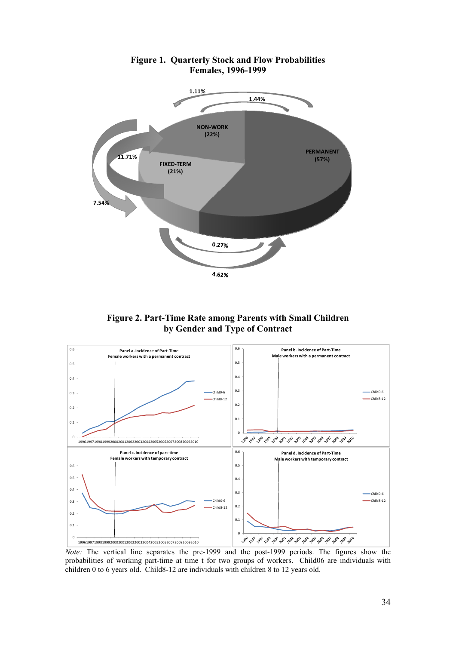

**Figure 1. Quarterly Stock and Flow Probabilities Females, 1996-1999** 

**Figure 2. Part-Time Rate among Parents with Small Children by Gender and Type of Contract** 



*Note:* The vertical line separates the pre-1999 and the post-1999 periods. The figures show the probabilities of working part-time at time t for two groups of workers. Child06 are individuals with children 0 to 6 years old. Child8-12 are individuals with children 8 to 12 years old.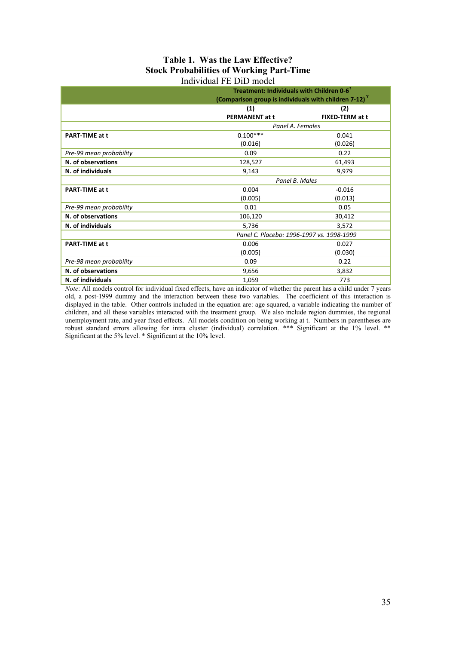#### **Table 1. Was the Law Effective? Stock Probabilities of Working Part-Time**  Individual FE DiD model

|                         | Treatment: Individuals with Children 0-6 <sup>r</sup><br>(Comparison group is individuals with children 7-12) <sup>Y</sup> |                        |  |  |  |
|-------------------------|----------------------------------------------------------------------------------------------------------------------------|------------------------|--|--|--|
|                         | (1)                                                                                                                        | (2)                    |  |  |  |
|                         | <b>PERMANENT at t</b>                                                                                                      | <b>FIXED-TERM at t</b> |  |  |  |
|                         | Panel A. Females                                                                                                           |                        |  |  |  |
| <b>PART-TIME at t</b>   | $0.100***$                                                                                                                 | 0.041                  |  |  |  |
|                         | (0.016)                                                                                                                    | (0.026)                |  |  |  |
| Pre-99 mean probability | 0.09                                                                                                                       | 0.22                   |  |  |  |
| N. of observations      | 128,527                                                                                                                    | 61,493                 |  |  |  |
| N. of individuals       | 9,143                                                                                                                      | 9,979                  |  |  |  |
|                         | Panel B. Males                                                                                                             |                        |  |  |  |
| <b>PART-TIME at t</b>   | 0.004                                                                                                                      | $-0.016$               |  |  |  |
|                         | (0.005)                                                                                                                    | (0.013)                |  |  |  |
| Pre-99 mean probability | 0.01                                                                                                                       | 0.05                   |  |  |  |
| N. of observations      | 106,120                                                                                                                    | 30,412                 |  |  |  |
| N. of individuals       | 5,736                                                                                                                      | 3,572                  |  |  |  |
|                         | Panel C. Placebo: 1996-1997 vs. 1998-1999                                                                                  |                        |  |  |  |
| <b>PART-TIME at t</b>   | 0.006                                                                                                                      | 0.027                  |  |  |  |
|                         | (0.005)                                                                                                                    | (0.030)                |  |  |  |
| Pre-98 mean probability | 0.09                                                                                                                       | 0.22                   |  |  |  |
| N. of observations      | 9,656                                                                                                                      | 3,832                  |  |  |  |
| N. of individuals       | 1,059<br>773                                                                                                               |                        |  |  |  |

*Note*: All models control for individual fixed effects, have an indicator of whether the parent has a child under 7 years old, a post-1999 dummy and the interaction between these two variables. The coefficient of this interaction is displayed in the table. Other controls included in the equation are: age squared, a variable indicating the number of children, and all these variables interacted with the treatment group. We also include region dummies, the regional unemployment rate, and year fixed effects. All models condition on being working at t. Numbers in parentheses are robust standard errors allowing for intra cluster (individual) correlation. \*\*\* Significant at the 1% level. \*\* Significant at the 5% level. \* Significant at the 10% level.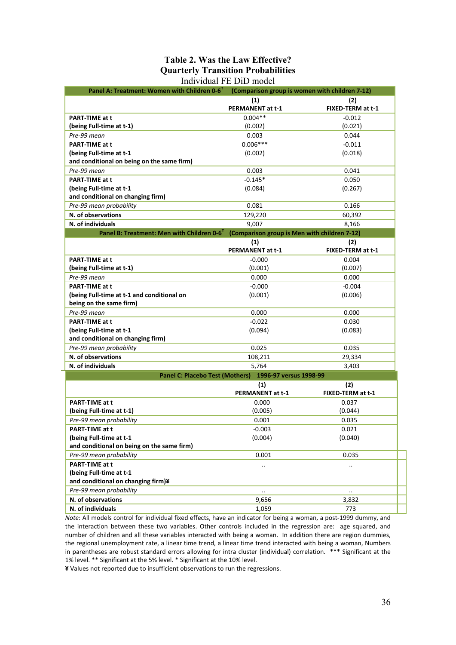#### **Table 2. Was the Law Effective? Quarterly Transition Probabilities**  Individual FE DiD model

| Panel A: Treatment: Women with Children 0-6 <sup>Y</sup>              | (Comparison group is women with children 7-12)        |                          |
|-----------------------------------------------------------------------|-------------------------------------------------------|--------------------------|
|                                                                       | (1)<br>PERMANENT at t-1                               | (2)<br>FIXED-TERM at t-1 |
| <b>PART-TIME at t</b>                                                 | $0.004**$                                             | $-0.012$                 |
| (being Full-time at t-1)                                              | (0.002)                                               | (0.021)                  |
| Pre-99 mean                                                           | 0.003                                                 | 0.044                    |
| <b>PART-TIME at t</b>                                                 | $0.006***$                                            |                          |
|                                                                       |                                                       | $-0.011$                 |
| (being Full-time at t-1<br>and conditional on being on the same firm) | (0.002)                                               | (0.018)                  |
| Pre-99 mean                                                           | 0.003                                                 | 0.041                    |
| <b>PART-TIME at t</b>                                                 | $-0.145*$                                             | 0.050                    |
| (being Full-time at t-1                                               | (0.084)                                               | (0.267)                  |
| and conditional on changing firm)                                     |                                                       |                          |
| Pre-99 mean probability                                               | 0.081                                                 | 0.166                    |
| N. of observations                                                    | 129,220                                               | 60,392                   |
| N. of individuals                                                     |                                                       |                          |
| Panel B: Treatment: Men with Children 0-6                             | 9,007<br>(Comparison group is Men with children 7-12) | 8,166                    |
|                                                                       |                                                       |                          |
|                                                                       | (1)<br><b>PERMANENT at t-1</b>                        | (2)<br>FIXED-TERM at t-1 |
| <b>PART-TIME at t</b>                                                 | $-0.000$                                              | 0.004                    |
| (being Full-time at t-1)                                              | (0.001)                                               | (0.007)                  |
| Pre-99 mean                                                           | 0.000                                                 | 0.000                    |
|                                                                       |                                                       |                          |
| <b>PART-TIME at t</b><br>(being Full-time at t-1 and conditional on   | $-0.000$                                              | $-0.004$                 |
| being on the same firm)                                               | (0.001)                                               | (0.006)                  |
| Pre-99 mean                                                           | 0.000                                                 | 0.000                    |
| PART-TIME at t                                                        | $-0.022$                                              | 0.030                    |
|                                                                       | (0.094)                                               | (0.083)                  |
| (being Full-time at t-1<br>and conditional on changing firm)          |                                                       |                          |
| Pre-99 mean probability                                               | 0.025                                                 | 0.035                    |
| N. of observations                                                    | 108,211                                               | 29,334                   |
|                                                                       |                                                       |                          |
| N. of individuals                                                     | 5,764                                                 | 3,403                    |
| <b>Panel C: Placebo Test (Mothers)</b>                                | 1996-97 versus 1998-99                                |                          |
|                                                                       | (1)                                                   | (2)                      |
|                                                                       | <b>PERMANENT at t-1</b>                               | FIXED-TERM at t-1        |
| PART-TIME at t                                                        | 0.000                                                 | 0.037                    |
| (being Full-time at t-1)                                              | (0.005)                                               | (0.044)                  |
| Pre-99 mean probability                                               | 0.001                                                 | 0.035                    |
| PART-TIME at t                                                        | $-0.003$                                              | 0.021                    |
| (being Full-time at t-1                                               | (0.004)                                               | (0.040)                  |
| and conditional on being on the same firm)                            |                                                       |                          |
| Pre-99 mean probability                                               | 0.001                                                 | 0.035                    |
| PART-TIME at t                                                        |                                                       |                          |
| (being Full-time at t-1                                               |                                                       |                          |
| and conditional on changing firm)¥                                    |                                                       |                          |
| Pre-99 mean probability                                               | $\ddot{\phantom{a}}$                                  | $\ddot{\phantom{a}}$     |
| N. of observations                                                    | 9,656                                                 | 3,832                    |
| N. of individuals                                                     | 1,059                                                 | 773                      |

*Note*: All models control for individual fixed effects, have an indicator for being a woman, a post‐1999 dummy, and the interaction between these two variables. Other controls included in the regression are: age squared, and number of children and all these variables interacted with being a woman. In addition there are region dummies, the regional unemployment rate, a linear time trend, a linear time trend interacted with being a woman, Numbers in parentheses are robust standard errors allowing for intra cluster (individual) correlation. \*\*\* Significant at the 1% level. \*\* Significant at the 5% level. \* Significant at the 10% level.

**¥** Values not reported due to insufficient observations to run the regressions.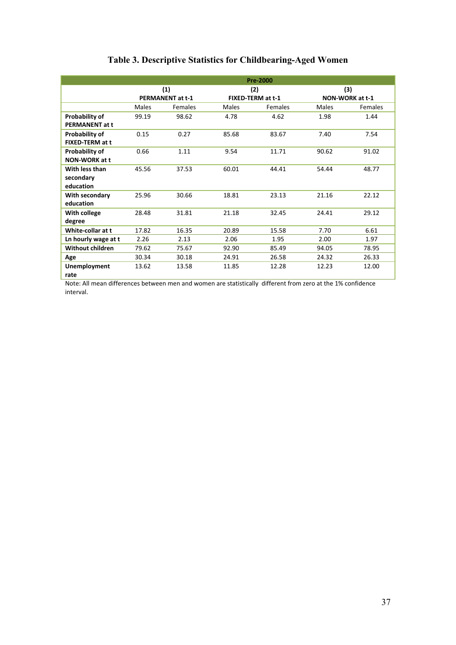|                       | <b>Pre-2000</b>         |                |       |                   |                        |         |
|-----------------------|-------------------------|----------------|-------|-------------------|------------------------|---------|
|                       |                         | (1)            |       | (2)               |                        | (3)     |
|                       | <b>PERMANENT at t-1</b> |                |       | FIXED-TERM at t-1 | <b>NON-WORK at t-1</b> |         |
|                       | Males                   | <b>Females</b> | Males | Females           | Males                  | Females |
| Probability of        | 99.19                   | 98.62          | 4.78  | 4.62              | 1.98                   | 1.44    |
| <b>PERMANENT at t</b> |                         |                |       |                   |                        |         |
| <b>Probability of</b> | 0.15                    | 0.27           | 85.68 | 83.67             | 7.40                   | 7.54    |
| FIXED-TERM at t       |                         |                |       |                   |                        |         |
| <b>Probability of</b> | 0.66                    | 1.11           | 9.54  | 11.71             | 90.62                  | 91.02   |
| <b>NON-WORK at t</b>  |                         |                |       |                   |                        |         |
| With less than        | 45.56                   | 37.53          | 60.01 | 44.41             | 54.44                  | 48.77   |
| secondary             |                         |                |       |                   |                        |         |
| education             |                         |                |       |                   |                        |         |
| With secondary        | 25.96                   | 30.66          | 18.81 | 23.13             | 21.16                  | 22.12   |
| education             |                         |                |       |                   |                        |         |
| With college          | 28.48                   | 31.81          | 21.18 | 32.45             | 24.41                  | 29.12   |
| degree                |                         |                |       |                   |                        |         |
| White-collar at t     | 17.82                   | 16.35          | 20.89 | 15.58             | 7.70                   | 6.61    |
| Ln hourly wage at t   | 2.26                    | 2.13           | 2.06  | 1.95              | 2.00                   | 1.97    |
| Without children      | 79.62                   | 75.67          | 92.90 | 85.49             | 94.05                  | 78.95   |
| Age                   | 30.34                   | 30.18          | 24.91 | 26.58             | 24.32                  | 26.33   |
| Unemployment          | 13.62                   | 13.58          | 11.85 | 12.28             | 12.23                  | 12.00   |
| rate                  |                         |                |       |                   |                        |         |

# **Table 3. Descriptive Statistics for Childbearing-Aged Women**

Note: All mean differences between men and women are statistically different from zero at the 1% confidence interval.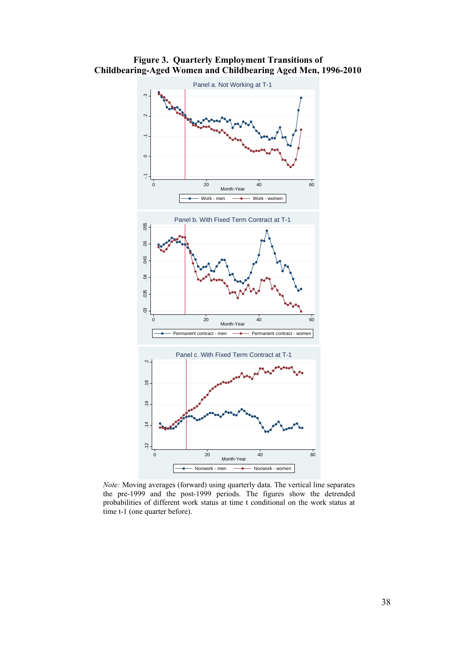

**Figure 3. Quarterly Employment Transitions of Childbearing-Aged Women and Childbearing Aged Men, 1996-2010** 

*Note:* Moving averages (forward) using quarterly data. The vertical line separates the pre-1999 and the post-1999 periods. The figures show the detrended probabilities of different work status at time t conditional on the work status at time t-1 (one quarter before).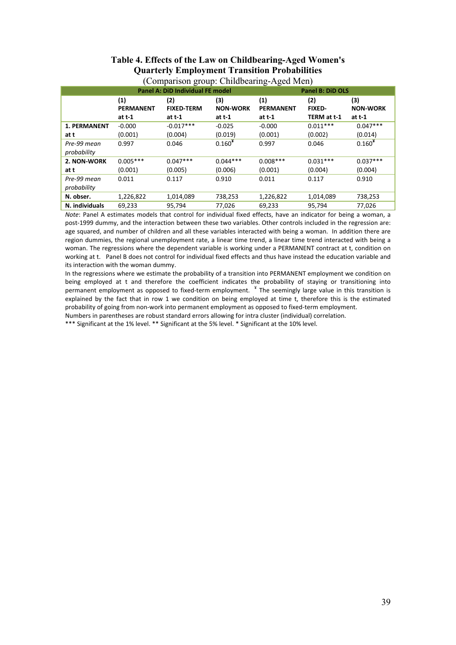|                            |                                     | <b>Panel A: DiD Individual FE model</b> |                                  | <b>Panel B: DiD OLS</b>           |                                     |                                    |
|----------------------------|-------------------------------------|-----------------------------------------|----------------------------------|-----------------------------------|-------------------------------------|------------------------------------|
|                            | (1)<br><b>PERMANENT</b><br>at $t-1$ | (2)<br><b>FIXED-TERM</b><br>at $t-1$    | (3)<br><b>NON-WORK</b><br>at t-1 | (1)<br><b>PERMANENT</b><br>at t-1 | (2)<br><b>FIXED-</b><br>TERM at t-1 | (3)<br><b>NON-WORK</b><br>at $t-1$ |
| <b>1. PERMANENT</b>        | $-0.000$                            | $-0.017***$                             | $-0.025$                         | $-0.000$                          | $0.011***$                          | $0.047***$                         |
| at t                       | (0.001)                             | (0.004)                                 | (0.019)                          | (0.001)                           | (0.002)                             | (0.014)                            |
| Pre-99 mean<br>probability | 0.997                               | 0.046                                   | $0.160*$                         | 0.997                             | 0.046                               | $0.160*$                           |
| 2. NON-WORK                | $0.005***$                          | $0.047***$                              | $0.044***$                       | $0.008***$                        | $0.031***$                          | $0.037***$                         |
| at t                       | (0.001)                             | (0.005)                                 | (0.006)                          | (0.001)                           | (0.004)                             | (0.004)                            |
| Pre-99 mean<br>probability | 0.011                               | 0.117                                   | 0.910                            | 0.011                             | 0.117                               | 0.910                              |
| N. obser.                  | 1,226,822                           | 1,014,089                               | 738,253                          | 1,226,822                         | 1,014,089                           | 738,253                            |
| N. individuals             | 69,233                              | 95,794                                  | 77,026                           | 69,233                            | 95,794                              | 77,026                             |

#### **Table 4. Effects of the Law on Childbearing-Aged Women's Quarterly Employment Transition Probabilities**  (Comparison group: Childbearing-Aged Men)

*Note*: Panel A estimates models that control for individual fixed effects, have an indicator for being a woman, a post‐1999 dummy, and the interaction between these two variables. Other controls included in the regression are: age squared, and number of children and all these variables interacted with being a woman. In addition there are region dummies, the regional unemployment rate, a linear time trend, a linear time trend interacted with being a woman. The regressions where the dependent variable is working under a PERMANENT contract at t, condition on working at t. Panel B does not control for individual fixed effects and thus have instead the education variable and its interaction with the woman dummy.

In the regressions where we estimate the probability of a transition into PERMANENT employment we condition on being employed at t and therefore the coefficient indicates the probability of staying or transitioning into permanent employment as opposed to fixed‐term employment. ¥ The seemingly large value in this transition is explained by the fact that in row 1 we condition on being employed at time t, therefore this is the estimated probability of going from non‐work into permanent employment as opposed to fixed‐term employment.

Numbers in parentheses are robust standard errors allowing for intra cluster (individual) correlation.

\*\*\* Significant at the 1% level. \*\* Significant at the 5% level. \* Significant at the 10% level.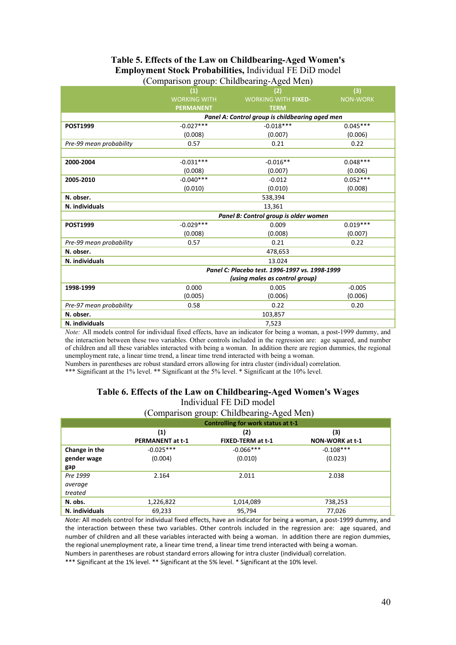#### **Table 5. Effects of the Law on Childbearing-Aged Women's Employment Stock Probabilities,** Individual FE DiD model (Comparison group: Childbearing-Aged Men)

|                         | . <del>.</del> .<br>— — г<br>(1) | ◡<br>$-5 - 7 - 7$<br>(2)                        | (3)             |  |  |  |  |
|-------------------------|----------------------------------|-------------------------------------------------|-----------------|--|--|--|--|
|                         | <b>WORKING WITH</b>              | <b>WORKING WITH FIXED-</b>                      | <b>NON-WORK</b> |  |  |  |  |
|                         | <b>PERMANENT</b>                 | <b>TERM</b>                                     |                 |  |  |  |  |
|                         |                                  | Panel A: Control group is childbearing aged men |                 |  |  |  |  |
| <b>POST1999</b>         | $-0.027***$                      | $-0.018***$                                     | $0.045***$      |  |  |  |  |
|                         | (0.008)                          | (0.007)                                         | (0.006)         |  |  |  |  |
| Pre-99 mean probability | 0.57                             | 0.21                                            | 0.22            |  |  |  |  |
|                         |                                  |                                                 |                 |  |  |  |  |
| 2000-2004               | $-0.031***$                      | $-0.016**$                                      | $0.048***$      |  |  |  |  |
|                         | (0.008)                          | (0.007)                                         | (0.006)         |  |  |  |  |
| 2005-2010               | $-0.040***$                      | $-0.012$                                        | $0.052***$      |  |  |  |  |
|                         | (0.010)                          | (0.010)                                         | (0.008)         |  |  |  |  |
| N. obser.               | 538,394                          |                                                 |                 |  |  |  |  |
| N. individuals          |                                  | 13,361                                          |                 |  |  |  |  |
|                         |                                  | Panel B: Control group is older women           |                 |  |  |  |  |
| <b>POST1999</b>         | $-0.029***$                      | 0.009                                           | $0.019***$      |  |  |  |  |
|                         | (0.008)                          | (0.008)                                         | (0.007)         |  |  |  |  |
| Pre-99 mean probability | 0.57                             | 0.21                                            | 0.22            |  |  |  |  |
| N. obser.               |                                  | 478,653                                         |                 |  |  |  |  |
| N. individuals          |                                  | 13.024                                          |                 |  |  |  |  |
|                         |                                  | Panel C: Placebo test. 1996-1997 vs. 1998-1999  |                 |  |  |  |  |
|                         |                                  | (using males as control group)                  |                 |  |  |  |  |
| 1998-1999               | 0.000                            | 0.005                                           | $-0.005$        |  |  |  |  |
|                         | (0.005)                          | (0.006)                                         | (0.006)         |  |  |  |  |
| Pre-97 mean probability | 0.58                             | 0.22                                            | 0.20            |  |  |  |  |
| N. obser.               |                                  | 103,857                                         |                 |  |  |  |  |
| N. individuals          |                                  | 7,523                                           |                 |  |  |  |  |

*Note:* All models control for individual fixed effects, have an indicator for being a woman, a post-1999 dummy, and the interaction between these two variables. Other controls included in the regression are: age squared, and number of children and all these variables interacted with being a woman. In addition there are region dummies, the regional unemployment rate, a linear time trend, a linear time trend interacted with being a woman.

Numbers in parentheses are robust standard errors allowing for intra cluster (individual) correlation.

\*\*\* Significant at the 1% level. \*\* Significant at the 5% level. \* Significant at the 10% level.

#### **Table 6. Effects of the Law on Childbearing-Aged Women's Wages**  Individual FE DiD model

(Comparison group: Childbearing-Aged Men)

|                | Controlling for work status at t-1 |                   |                 |  |  |  |  |
|----------------|------------------------------------|-------------------|-----------------|--|--|--|--|
|                | $\left( 1\right)$                  | (2)               | (3)             |  |  |  |  |
|                | <b>PERMANENT at t-1</b>            | FIXED-TERM at t-1 | NON-WORK at t-1 |  |  |  |  |
| Change in the  | $-0.025***$                        | $-0.066***$       | $-0.108***$     |  |  |  |  |
| gender wage    | (0.004)                            | (0.010)           | (0.023)         |  |  |  |  |
| gap            |                                    |                   |                 |  |  |  |  |
| Pre 1999       | 2.164                              | 2.011             | 2.038           |  |  |  |  |
| average        |                                    |                   |                 |  |  |  |  |
| treated        |                                    |                   |                 |  |  |  |  |
| N. obs.        | 1,226,822                          | 1,014,089         | 738,253         |  |  |  |  |
| N. individuals | 69,233                             | 95,794            | 77,026          |  |  |  |  |

*Note:* All models control for individual fixed effects, have an indicator for being a woman, a post-1999 dummy, and the interaction between these two variables. Other controls included in the regression are: age squared, and number of children and all these variables interacted with being a woman. In addition there are region dummies, the regional unemployment rate, a linear time trend, a linear time trend interacted with being a woman.

Numbers in parentheses are robust standard errors allowing for intra cluster (individual) correlation.

\*\*\* Significant at the 1% level. \*\* Significant at the 5% level. \* Significant at the 10% level.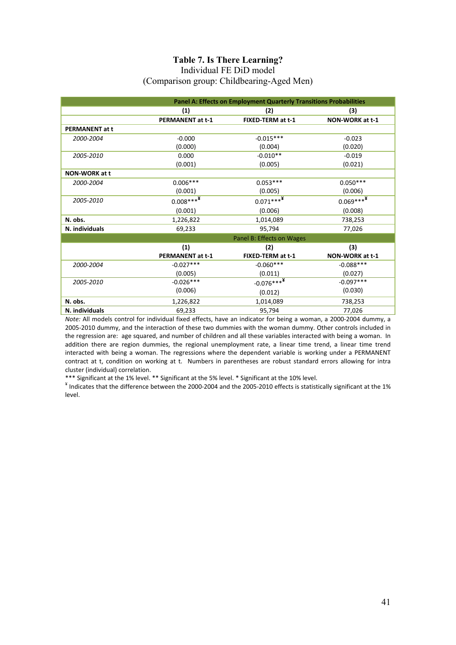### **Table 7. Is There Learning?**

#### Individual FE DiD model (Comparison group: Childbearing-Aged Men)

|                       |                         | Panel A: Effects on Employment Quarterly Transitions Probabilities |                 |
|-----------------------|-------------------------|--------------------------------------------------------------------|-----------------|
|                       | (1)                     | (2)                                                                | (3)             |
|                       | <b>PERMANENT at t-1</b> | FIXED-TERM at t-1                                                  | NON-WORK at t-1 |
| <b>PERMANENT at t</b> |                         |                                                                    |                 |
| 2000-2004             | $-0.000$                | $-0.015***$                                                        | $-0.023$        |
|                       | (0.000)                 | (0.004)                                                            | (0.020)         |
| 2005-2010             | 0.000                   | $-0.010**$                                                         | $-0.019$        |
|                       | (0.001)                 | (0.005)                                                            | (0.021)         |
| <b>NON-WORK at t</b>  |                         |                                                                    |                 |
| 2000-2004             | $0.006***$              | $0.053***$                                                         | $0.050***$      |
|                       | (0.001)                 | (0.005)                                                            | (0.006)         |
| 2005-2010             | $0.008***$ **           | $0.071***$ <sup>**</sup>                                           | $0.069***$      |
|                       | (0.001)                 | (0.006)                                                            | (0.008)         |
| N. obs.               | 1,226,822               | 1,014,089                                                          | 738,253         |
| N. individuals        | 69,233                  | 95,794                                                             | 77,026          |
|                       |                         | Panel B: Effects on Wages                                          |                 |
|                       | (1)                     | (2)                                                                | (3)             |
|                       | <b>PERMANENT at t-1</b> | FIXED-TERM at t-1                                                  | NON-WORK at t-1 |
| 2000-2004             | $-0.027***$             | $-0.060***$                                                        | $-0.088***$     |
|                       | (0.005)                 | (0.011)                                                            | (0.027)         |
| 2005-2010             | $-0.026***$             | $-0.076***^{*2}$                                                   | $-0.097***$     |
|                       | (0.006)                 | (0.012)                                                            | (0.030)         |
| N. obs.               | 1,226,822               | 1,014,089                                                          | 738,253         |
| N. individuals        | 69,233                  | 95,794                                                             | 77,026          |

*Note:* All models control for individual fixed effects, have an indicator for being a woman, a 2000‐2004 dummy, a 2005‐2010 dummy, and the interaction of these two dummies with the woman dummy. Other controls included in the regression are: age squared, and number of children and all these variables interacted with being a woman. In addition there are region dummies, the regional unemployment rate, a linear time trend, a linear time trend interacted with being a woman. The regressions where the dependent variable is working under a PERMANENT contract at t, condition on working at t. Numbers in parentheses are robust standard errors allowing for intra cluster (individual) correlation.<br>\*\*\* Significant at the 1% level. \*\* Significant at the 5% level. \* Significant at the 10% level.

\* Indicates that the difference between the 2000‐2004 and the 2005‐2010 effects is statistically significant at the 1% level.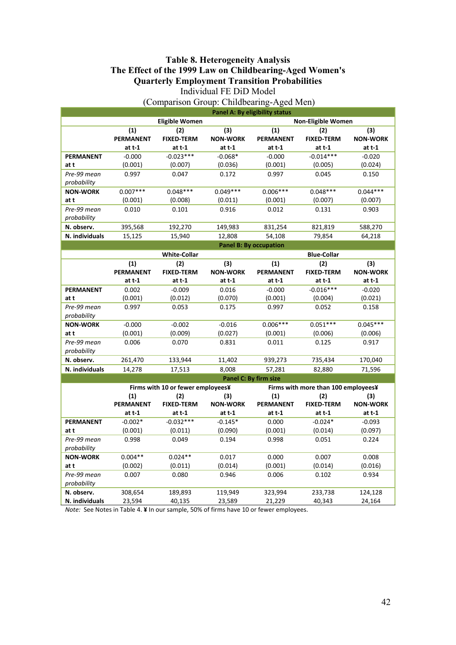#### **Table 8. Heterogeneity Analysis The Effect of the 1999 Law on Childbearing-Aged Women's Quarterly Employment Transition Probabilities**  Individual FE DiD Model

|                  | <b>Panel A: By eligibility status</b> |                       |                 |                               |                    |                 |  |
|------------------|---------------------------------------|-----------------------|-----------------|-------------------------------|--------------------|-----------------|--|
|                  |                                       | <b>Eligible Women</b> |                 | <b>Non-Eligible Women</b>     |                    |                 |  |
|                  | (1)                                   | (2)                   | (3)             | (1)                           | (2)                | (3)             |  |
|                  | <b>PERMANENT</b>                      | <b>FIXED-TERM</b>     | <b>NON-WORK</b> | <b>PERMANENT</b>              | <b>FIXED-TERM</b>  | <b>NON-WORK</b> |  |
|                  | $at t-1$                              | at $t-1$              | at $t-1$        | at $t-1$                      | at t-1             | at $t-1$        |  |
| <b>PERMANENT</b> | $-0.000$                              | $-0.023***$           | $-0.068*$       | $-0.000$                      | $-0.014***$        | $-0.020$        |  |
| at t             | (0.001)                               | (0.007)               | (0.036)         | (0.001)                       | (0.005)            | (0.024)         |  |
| Pre-99 mean      | 0.997                                 | 0.047                 | 0.172           | 0.997                         | 0.045              | 0.150           |  |
| probability      |                                       |                       |                 |                               |                    |                 |  |
| <b>NON-WORK</b>  | $0.007***$                            | $0.048***$            | $0.049***$      | $0.006***$                    | $0.048***$         | $0.044***$      |  |
| at t             | (0.001)                               | (0.008)               | (0.011)         | (0.001)                       | (0.007)            | (0.007)         |  |
| Pre-99 mean      | 0.010                                 | 0.101                 | 0.916           | 0.012                         | 0.131              | 0.903           |  |
| probability      |                                       |                       |                 |                               |                    |                 |  |
| N. observ.       | 395,568                               | 192,270               | 149,983         | 831,254                       | 821,819            | 588,270         |  |
| N. individuals   | 15,125                                | 15,940                | 12,808          | 54,108                        | 79,854             | 64,218          |  |
|                  |                                       |                       |                 | <b>Panel B: By occupation</b> |                    |                 |  |
|                  |                                       | <b>White-Collar</b>   |                 |                               | <b>Blue-Collar</b> |                 |  |
|                  | (1)                                   | (2)                   | (3)             | (1)                           | (2)                | (3)             |  |
|                  | <b>PERMANENT</b>                      | <b>FIXED-TERM</b>     | <b>NON-WORK</b> | <b>PERMANENT</b>              | <b>FIXED-TERM</b>  | <b>NON-WORK</b> |  |
|                  | at $t-1$                              | at $t-1$              | at $t-1$        | at $t-1$                      | at $t-1$           | at t-1          |  |
| <b>PERMANENT</b> | 0.002                                 | $-0.009$              | 0.016           | $-0.000$                      | $-0.016***$        | $-0.020$        |  |
| at t             | (0.001)                               | (0.012)               | (0.070)         | (0.001)                       | (0.004)            | (0.021)         |  |
| Pre-99 mean      | 0.997                                 | 0.053                 | 0.175           | 0.997                         | 0.052              | 0.158           |  |
| probability      |                                       |                       |                 |                               |                    |                 |  |
| <b>NON-WORK</b>  | $-0.000$                              | $-0.002$              | $-0.016$        | $0.006***$                    | $0.051***$         | $0.045***$      |  |
| at t             | (0.001)                               | (0.009)               | (0.027)         | (0.001)                       | (0.006)            | (0.006)         |  |
| Pre-99 mean      | 0.006                                 | 0.070                 | 0.831           | 0.011                         | 0.125              | 0.917           |  |

(Comparison Group: Childbearing-Aged Men)

| N. observ.       | 261,470                      | 133,944                           | 11,402          | 939,273          | 735,434                             | 170,040         |  |  |  |
|------------------|------------------------------|-----------------------------------|-----------------|------------------|-------------------------------------|-----------------|--|--|--|
| N. individuals   | 14,278                       | 17,513                            | 8,008           | 57,281           | 82,880                              | 71,596          |  |  |  |
|                  | <b>Panel C: By firm size</b> |                                   |                 |                  |                                     |                 |  |  |  |
|                  |                              | Firms with 10 or fewer employees¥ |                 |                  | Firms with more than 100 employees¥ |                 |  |  |  |
|                  | (1)                          | (2)                               | (3)             | (1)              | (2)                                 | (3)             |  |  |  |
|                  | <b>PERMANENT</b>             | <b>FIXED-TERM</b>                 | <b>NON-WORK</b> | <b>PERMANENT</b> | <b>FIXED-TERM</b>                   | <b>NON-WORK</b> |  |  |  |
|                  | at t-1                       | at t-1                            | at t-1          | at t-1           | at t-1                              | at t-1          |  |  |  |
| <b>PERMANENT</b> | $-0.002*$                    | $-0.032***$                       | $-0.145*$       | 0.000            | $-0.024*$                           | $-0.093$        |  |  |  |
| att              | (0.001)                      | (0.011)                           | (0.090)         | (0.001)          | (0.014)                             | (0.097)         |  |  |  |
| Pre-99 mean      | 0.998                        | 0.049                             | 0.194           | 0.998            | 0.051                               | 0.224           |  |  |  |
| probability      |                              |                                   |                 |                  |                                     |                 |  |  |  |
| <b>NON-WORK</b>  | $0.004**$                    | $0.024**$                         | 0.017           | 0.000            | 0.007                               | 0.008           |  |  |  |
| at t             | (0.002)                      | (0.011)                           | (0.014)         | (0.001)          | (0.014)                             | (0.016)         |  |  |  |
| Pre-99 mean      | 0.007                        | 0.080                             | 0.946           | 0.006            | 0.102                               | 0.934           |  |  |  |
| probability      |                              |                                   |                 |                  |                                     |                 |  |  |  |
| N. observ.       | 308,654                      | 189,893                           | 119,949         | 323,994          | 233,738                             | 124,128         |  |  |  |
| N. individuals   | 23,594                       | 40,135                            | 23,589          | 21,229           | 40,343                              | 24,164          |  |  |  |

*Note:* See Notes in Table 4. **¥** In our sample, 50% of firms have 10 or fewer employees.

*probability*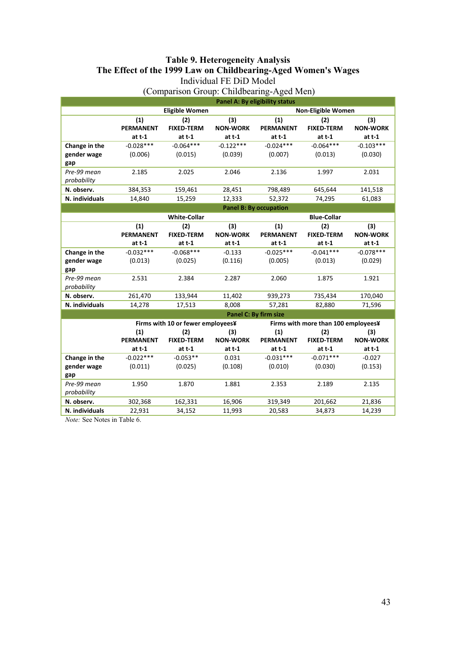### **Table 9. Heterogeneity Analysis The Effect of the 1999 Law on Childbearing-Aged Women's Wages**  Individual FE DiD Model

|                | <b>Panel A: By eligibility status</b> |                                   |                 |                               |                                     |                 |
|----------------|---------------------------------------|-----------------------------------|-----------------|-------------------------------|-------------------------------------|-----------------|
|                |                                       | <b>Eligible Women</b>             |                 |                               | Non-Eligible Women                  |                 |
|                | (1)                                   | (2)                               | (3)             | (1)                           | (2)                                 | (3)             |
|                | <b>PERMANENT</b>                      | <b>FIXED-TERM</b>                 | <b>NON-WORK</b> | <b>PERMANENT</b>              | <b>FIXED-TERM</b>                   | <b>NON-WORK</b> |
|                | at $t-1$                              | at $t-1$                          | at $t-1$        | at t-1                        | at $t-1$                            | at t-1          |
| Change in the  | $-0.028***$                           | $-0.064***$                       | $-0.122***$     | $-0.024***$                   | $-0.064***$                         | $-0.103***$     |
| gender wage    | (0.006)                               | (0.015)                           | (0.039)         | (0.007)                       | (0.013)                             | (0.030)         |
| gap            |                                       |                                   |                 |                               |                                     |                 |
| Pre-99 mean    | 2.185                                 | 2.025                             | 2.046           | 2.136                         | 1.997                               | 2.031           |
| probability    |                                       |                                   |                 |                               |                                     |                 |
| N. observ.     | 384,353                               | 159,461                           | 28,451          | 798,489                       | 645,644                             | 141,518         |
| N. individuals | 14,840                                | 15,259                            | 12,333          | 52,372                        | 74,295                              | 61,083          |
|                |                                       |                                   |                 | <b>Panel B: By occupation</b> |                                     |                 |
|                | <b>White-Collar</b>                   |                                   |                 |                               | <b>Blue-Collar</b>                  |                 |
|                | (1)                                   | (2)                               | (3)             | (1)                           | (2)                                 | (3)             |
|                | <b>PERMANENT</b>                      | <b>FIXED-TERM</b>                 | <b>NON-WORK</b> | <b>PERMANENT</b>              | <b>FIXED-TERM</b>                   | <b>NON-WORK</b> |
|                | at $t-1$                              | at t-1                            | at $t-1$        | at $t-1$                      | $at t-1$                            | $at t-1$        |
| Change in the  | $-0.032***$                           | $-0.068***$                       | $-0.133$        | $-0.025***$                   | $-0.041***$                         | $-0.078***$     |
| gender wage    | (0.013)                               | (0.025)                           | (0.116)         | (0.005)                       | (0.013)                             | (0.029)         |
| gap            |                                       |                                   |                 |                               |                                     |                 |
| Pre-99 mean    | 2.531                                 | 2.384                             | 2.287           | 2.060                         | 1.875                               | 1.921           |
| probability    |                                       |                                   |                 |                               |                                     |                 |
| N. observ.     | 261,470                               | 133,944                           | 11,402          | 939,273                       | 735,434                             | 170,040         |
| N. individuals | 14,278                                | 17,513                            | 8,008           | 57,281                        | 82,880                              | 71,596          |
|                |                                       |                                   |                 | Panel C: By firm size         |                                     |                 |
|                |                                       | Firms with 10 or fewer employees¥ |                 |                               | Firms with more than 100 employees¥ |                 |
|                | (1)                                   | (2)                               | (3)             | (1)                           | (2)                                 | (3)             |
|                | <b>PERMANENT</b>                      | <b>FIXED-TERM</b>                 | <b>NON-WORK</b> | <b>PERMANENT</b>              | <b>FIXED-TERM</b>                   | <b>NON-WORK</b> |
|                | at $t-1$                              | at t-1                            | at $t-1$        | at t-1                        | at t-1                              | at t-1          |
| Change in the  | $-0.022***$                           | $-0.053**$                        | 0.031           | $-0.031***$                   | $-0.071***$                         | $-0.027$        |
| gender wage    | (0.011)                               | (0.025)                           | (0.108)         | (0.010)                       | (0.030)                             | (0.153)         |
| gap            |                                       |                                   |                 |                               |                                     |                 |
| Pre-99 mean    | 1.950                                 | 1.870                             | 1.881           | 2.353                         | 2.189                               | 2.135           |
| probability    |                                       |                                   |                 |                               |                                     |                 |
| N. observ.     | 302,368                               | 162,331                           | 16,906          | 319,349                       | 201,662                             | 21,836          |
| N. individuals | 22,931                                | 34,152                            | 11,993          | 20,583                        | 34,873                              | 14,239          |

(Comparison Group: Childbearing-Aged Men)

*Note:* See Notes in Table 6.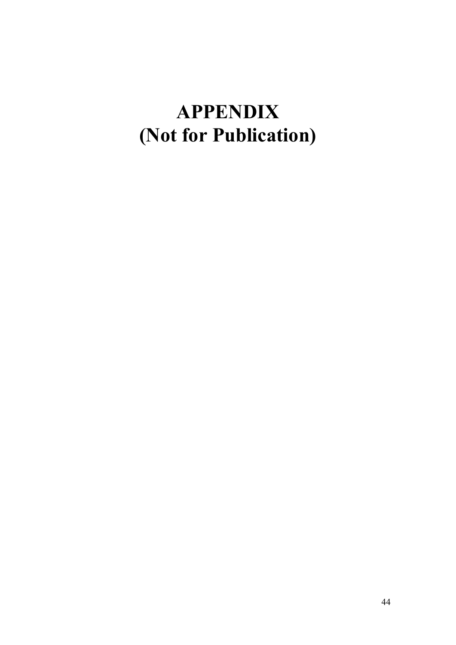# **APPENDIX (Not for Publication)**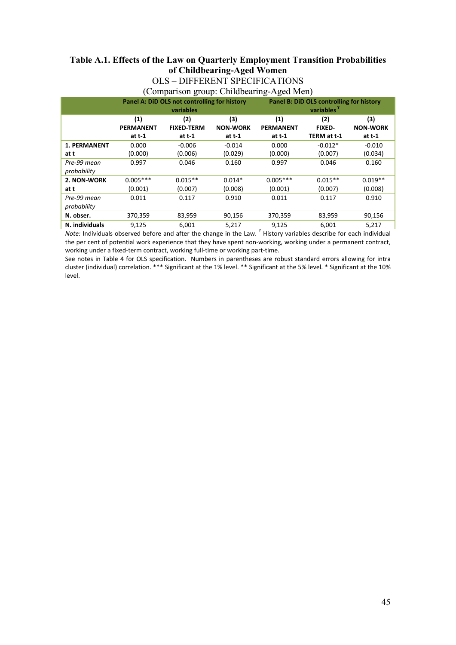### **Table A.1. Effects of the Law on Quarterly Employment Transition Probabilities of Childbearing-Aged Women**

### OLS – DIFFERENT SPECIFICATIONS

| (Comparison group: Childbearing-Aged Men)    |                                          |
|----------------------------------------------|------------------------------------------|
| Panel A: DiD OLS not controlling for history | Panel B: DiD OLS controlling for history |
| and the contract of the contract of          | a na matsayin na Ta                      |

|                     | $\frac{1}{2}$ and $\frac{1}{2}$ and $\frac{1}{2}$ and the controlling for motor $\frac{1}{2}$ |                   |                 | $\frac{1}{2}$ and $\frac{1}{2}$ and $\frac{1}{2}$ are contributing for motor $\frac{1}{2}$ |               |                 |
|---------------------|-----------------------------------------------------------------------------------------------|-------------------|-----------------|--------------------------------------------------------------------------------------------|---------------|-----------------|
|                     | variables                                                                                     |                   |                 | variables <sup>1</sup>                                                                     |               |                 |
|                     | (1)                                                                                           | (2)               | (3)             | (1)                                                                                        | (2)           | (3)             |
|                     | <b>PERMANENT</b>                                                                              | <b>FIXED-TERM</b> | <b>NON-WORK</b> | <b>PERMANENT</b>                                                                           | <b>FIXED-</b> | <b>NON-WORK</b> |
|                     | at $t-1$                                                                                      | at t-1            | at $t-1$        | at t-1                                                                                     | TERM at t-1   | at t-1          |
| <b>1. PERMANENT</b> | 0.000                                                                                         | $-0.006$          | $-0.014$        | 0.000                                                                                      | $-0.012*$     | $-0.010$        |
| att                 | (0.000)                                                                                       | (0.006)           | (0.029)         | (0.000)                                                                                    | (0.007)       | (0.034)         |
| Pre-99 mean         | 0.997                                                                                         | 0.046             | 0.160           | 0.997                                                                                      | 0.046         | 0.160           |
| probability         |                                                                                               |                   |                 |                                                                                            |               |                 |
| 2. NON-WORK         | $0.005***$                                                                                    | $0.015**$         | $0.014*$        | $0.005***$                                                                                 | $0.015**$     | $0.019**$       |
| at t                | (0.001)                                                                                       | (0.007)           | (0.008)         | (0.001)                                                                                    | (0.007)       | (0.008)         |
| Pre-99 mean         | 0.011                                                                                         | 0.117             | 0.910           | 0.011                                                                                      | 0.117         | 0.910           |
| probability         |                                                                                               |                   |                 |                                                                                            |               |                 |
| N. obser.           | 370,359                                                                                       | 83,959            | 90,156          | 370,359                                                                                    | 83,959        | 90,156          |
| N. individuals      | 9,125                                                                                         | 6,001             | 5,217           | 9,125                                                                                      | 6.001         | 5,217           |

*Note:* Individuals observed before and after the change in the Law. <sup>Y</sup> History variables describe for each individual the per cent of potential work experience that they have spent non‐working, working under a permanent contract, working under a fixed-term contract, working full-time or working part-time.

See notes in Table 4 for OLS specification. Numbers in parentheses are robust standard errors allowing for intra cluster (individual) correlation. \*\*\* Significant at the 1% level. \*\* Significant at the 5% level. \* Significant at the 10% level.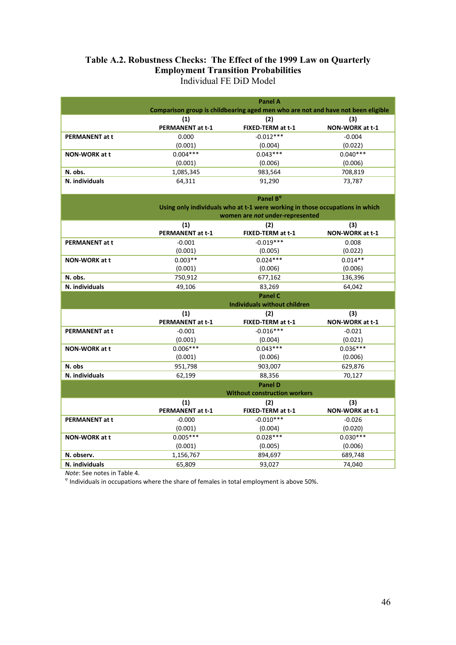### **Table A.2. Robustness Checks: The Effect of the 1999 Law on Quarterly Employment Transition Probabilities**  Individual FE DiD Model

|                       | <b>Panel A</b>          |                                                                                  |                        |  |
|-----------------------|-------------------------|----------------------------------------------------------------------------------|------------------------|--|
|                       |                         | Comparison group is childbearing aged men who are not and have not been eligible |                        |  |
|                       | (1)                     | (2)                                                                              | (3)                    |  |
|                       | <b>PERMANENT at t-1</b> | FIXED-TERM at t-1                                                                | NON-WORK at t-1        |  |
| <b>PERMANENT at t</b> | 0.000                   | $-0.012***$                                                                      | $-0.004$               |  |
|                       | (0.001)                 | (0.004)                                                                          | (0.022)                |  |
| <b>NON-WORK at t</b>  | $0.004***$              | $0.043***$                                                                       | $0.040***$             |  |
|                       | (0.001)                 | (0.006)                                                                          | (0.006)                |  |
| N. obs.               | 1,085,345               | 983,564                                                                          | 708,819                |  |
| N. individuals        | 64,311                  | 91,290                                                                           | 73,787                 |  |
|                       |                         |                                                                                  |                        |  |
|                       |                         | Panel B <sup>®</sup>                                                             |                        |  |
|                       |                         | Using only individuals who at t-1 were working in those occupations in which     |                        |  |
|                       |                         | women are not under-represented                                                  |                        |  |
|                       | (1)                     | (2)                                                                              | (3)                    |  |
|                       | <b>PERMANENT at t-1</b> | FIXED-TERM at t-1                                                                | NON-WORK at t-1        |  |
| <b>PERMANENT at t</b> | $-0.001$                | $-0.019***$                                                                      | 0.008                  |  |
|                       | (0.001)                 | (0.005)                                                                          | (0.022)                |  |
| <b>NON-WORK at t</b>  | $0.003**$               | $0.024***$                                                                       | $0.014**$              |  |
|                       | (0.001)                 | (0.006)                                                                          | (0.006)                |  |
| N. obs.               | 750,912                 | 677,162                                                                          | 136,396                |  |
| N. individuals        | 49,106                  | 83,269                                                                           | 64,042                 |  |
|                       |                         | <b>Panel C</b>                                                                   |                        |  |
|                       |                         | <b>Individuals without children</b>                                              |                        |  |
|                       | (1)<br>PERMANENT at t-1 | (2)<br>FIXED-TERM at t-1                                                         | (3)<br>NON-WORK at t-1 |  |
|                       | $-0.001$                | $-0.016***$                                                                      | $-0.021$               |  |
| <b>PERMANENT at t</b> | (0.001)                 | (0.004)                                                                          | (0.021)                |  |
| NON-WORK at t         | $0.006***$              | $0.043***$                                                                       | $0.036***$             |  |
|                       | (0.001)                 | (0.006)                                                                          | (0.006)                |  |
| N. obs                | 951,798                 | 903,007                                                                          | 629,876                |  |
| N. individuals        | 62,199                  | 88,356                                                                           | 70,127                 |  |
|                       |                         | <b>Panel D</b>                                                                   |                        |  |
|                       |                         | <b>Without construction workers</b>                                              |                        |  |
|                       | (1)                     | (2)                                                                              | (3)                    |  |
|                       | <b>PERMANENT at t-1</b> | FIXED-TERM at t-1                                                                | NON-WORK at t-1        |  |
| <b>PERMANENT at t</b> | $-0.000$                | $-0.010***$                                                                      | $-0.026$               |  |
|                       | (0.001)                 | (0.004)                                                                          | (0.020)                |  |
| <b>NON-WORK at t</b>  | $0.005***$              | $0.028***$                                                                       | $0.030***$             |  |
|                       | (0.001)                 | (0.005)                                                                          | (0.006)                |  |
| N. observ.            | 1,156,767               | 894,697                                                                          | 689,748                |  |
| N. individuals        | 65,809                  | 93,027                                                                           | 74,040                 |  |

*Note*: See notes in Table 4.<br><sup>φ</sup> Individuals in occupations where the share of females in total employment is above 50%.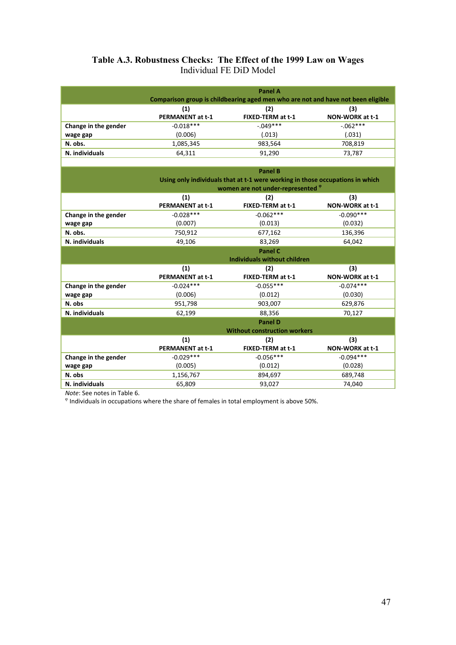### **Table A.3. Robustness Checks: The Effect of the 1999 Law on Wages**  Individual FE DiD Model

|                      | Panel A<br>Comparison group is childbearing aged men who are not and have not been eligible |                          |                        |  |  |
|----------------------|---------------------------------------------------------------------------------------------|--------------------------|------------------------|--|--|
|                      | (1)<br><b>PERMANENT at t-1</b>                                                              | (2)<br>FIXED-TERM at t-1 | (3)<br>NON-WORK at t-1 |  |  |
| Change in the gender | $-0.018***$                                                                                 | $-.049***$               | $-.062***$             |  |  |
| wage gap             | (0.006)                                                                                     | (.013)                   | (.031)                 |  |  |
| N. obs.              | 1,085,345                                                                                   | 983,564                  | 708,819                |  |  |
| N. individuals       | 64,311                                                                                      | 91,290                   | 73,787                 |  |  |
|                      |                                                                                             |                          |                        |  |  |

|                      | <b>Panel B</b><br>Using only individuals that at t-1 were working in those occupations in which<br>women are not under-represented <sup>o</sup> |                                     |                        |  |
|----------------------|-------------------------------------------------------------------------------------------------------------------------------------------------|-------------------------------------|------------------------|--|
|                      | (1)<br><b>PERMANENT at t-1</b>                                                                                                                  | (2)<br>FIXED-TERM at t-1            | (3)<br>NON-WORK at t-1 |  |
| Change in the gender | $-0.028***$                                                                                                                                     | $-0.062***$                         | $-0.090***$            |  |
| wage gap             | (0.007)                                                                                                                                         | (0.013)                             | (0.032)                |  |
| N. obs.              | 750,912                                                                                                                                         | 677,162                             | 136,396                |  |
| N. individuals       | 49,106                                                                                                                                          | 83,269                              | 64,042                 |  |
|                      |                                                                                                                                                 | <b>Panel C</b>                      |                        |  |
|                      |                                                                                                                                                 | <b>Individuals without children</b> |                        |  |
|                      |                                                                                                                                                 |                                     |                        |  |
|                      | (1)                                                                                                                                             | (2)                                 | (3)                    |  |
|                      | <b>PERMANENT at t-1</b>                                                                                                                         | FIXED-TERM at t-1                   | NON-WORK at t-1        |  |
| Change in the gender | $-0.024***$                                                                                                                                     | $-0.055***$                         | $-0.074***$            |  |
| wage gap             | (0.006)                                                                                                                                         | (0.012)                             | (0.030)                |  |
| N. obs               | 951,798                                                                                                                                         | 903,007                             | 629,876                |  |
| N. individuals       | 62,199                                                                                                                                          | 88,356                              | 70,127                 |  |
|                      |                                                                                                                                                 | <b>Panel D</b>                      |                        |  |
|                      |                                                                                                                                                 | <b>Without construction workers</b> |                        |  |
|                      | (1)                                                                                                                                             | (2)                                 | (3)                    |  |
|                      | <b>PERMANENT at t-1</b>                                                                                                                         | FIXED-TERM at t-1                   | NON-WORK at t-1        |  |

(0.012)

**N. obs** 1,156,767 894,697 689,748<br> **N. individuals** 65,809 93,027 74,040 **N. individuals** 65,809

**wage gap**

*Note*: See notes in Table 6.<br><sup>φ</sup> Individuals in occupations where the share of females in total employment is above 50%.

(0.005)

(0.028)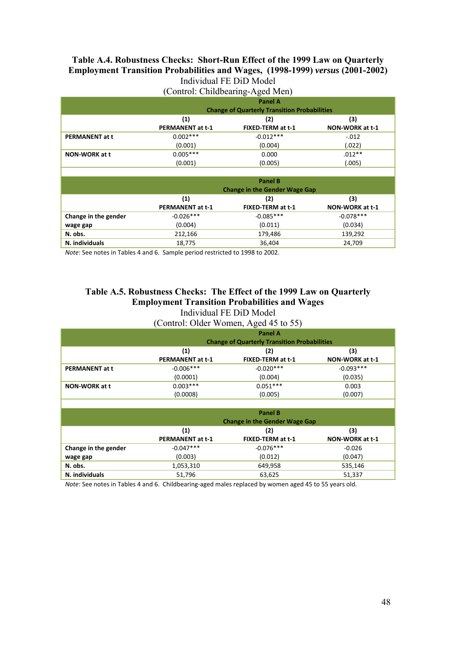#### **Table A.4. Robustness Checks: Short-Run Effect of the 1999 Law on Quarterly Employment Transition Probabilities and Wages, (1998-1999)** *versus* **(2001-2002)**  Individual FE DiD Model

(Control: Childbearing-Aged Men)

|                       | Panel A                 |                                                     |                 |  |  |
|-----------------------|-------------------------|-----------------------------------------------------|-----------------|--|--|
|                       |                         | <b>Change of Quarterly Transition Probabilities</b> |                 |  |  |
|                       | (1)<br>(3)<br>(2)       |                                                     |                 |  |  |
|                       | <b>PERMANENT at t-1</b> | FIXED-TERM at t-1                                   | NON-WORK at t-1 |  |  |
| <b>PERMANENT at t</b> | $0.002***$              | $-0.012***$                                         | $-.012$         |  |  |
|                       | (0.001)                 | (0.004)                                             | (.022)          |  |  |
| <b>NON-WORK at t</b>  | $0.005***$              | 0.000                                               | $.012**$        |  |  |
|                       | (0.001)                 | (0.005)                                             | (.005)          |  |  |
|                       |                         |                                                     |                 |  |  |
|                       |                         | <b>Panel B</b>                                      |                 |  |  |
|                       |                         | <b>Change in the Gender Wage Gap</b>                |                 |  |  |
|                       | (1)                     | (2)                                                 | (3)             |  |  |
|                       | <b>PERMANENT at t-1</b> | FIXED-TERM at t-1                                   | NON-WORK at t-1 |  |  |
| Change in the gender  | $-0.026***$             | $-0.085***$                                         | $-0.078***$     |  |  |
| wage gap              | (0.004)                 | (0.011)                                             | (0.034)         |  |  |
| N. obs.               | 212,166                 | 179,486                                             | 139,292         |  |  |
| N. individuals        | 18,775                  | 36,404                                              | 24,709          |  |  |

*Note*: See notes in Tables 4 and 6. Sample period restricted to 1998 to 2002.

#### **Table A.5. Robustness Checks: The Effect of the 1999 Law on Quarterly Employment Transition Probabilities and Wages**  Individual FE DiD Model

(Control: Older Women, Aged 45 to 55)

| <b>Panel A</b><br><b>Change of Quarterly Transition Probabilities</b> |                   |                 |  |  |
|-----------------------------------------------------------------------|-------------------|-----------------|--|--|
| (1)                                                                   | (2)               | (3)             |  |  |
| <b>PERMANENT at t-1</b>                                               | FIXED-TERM at t-1 | NON-WORK at t-1 |  |  |
| $-0.006***$                                                           | $-0.020***$       | $-0.093***$     |  |  |
| (0.0001)                                                              | (0.004)           | (0.035)         |  |  |
| $0.003***$                                                            | $0.051***$        | 0.003           |  |  |
| (0.0008)                                                              | (0.005)           | (0.007)         |  |  |
|                                                                       |                   |                 |  |  |

|                      | <b>Panel B</b><br><b>Change in the Gender Wage Gap</b>                                             |             |          |  |  |  |
|----------------------|----------------------------------------------------------------------------------------------------|-------------|----------|--|--|--|
|                      | (3)<br>$\left( 1\right)$<br>(2)<br>NON-WORK at t-1<br>FIXED-TERM at t-1<br><b>PERMANENT at t-1</b> |             |          |  |  |  |
| Change in the gender | $-0.047***$                                                                                        | $-0.076***$ | $-0.026$ |  |  |  |
| wage gap             | (0.003)                                                                                            | (0.012)     | (0.047)  |  |  |  |
| N. obs.              | 1,053,310                                                                                          | 649,958     | 535,146  |  |  |  |
| N. individuals       | 51,796                                                                                             | 63,625      | 51,337   |  |  |  |

*Note*: See notes in Tables 4 and 6. Childbearing-aged males replaced by women aged 45 to 55 years old.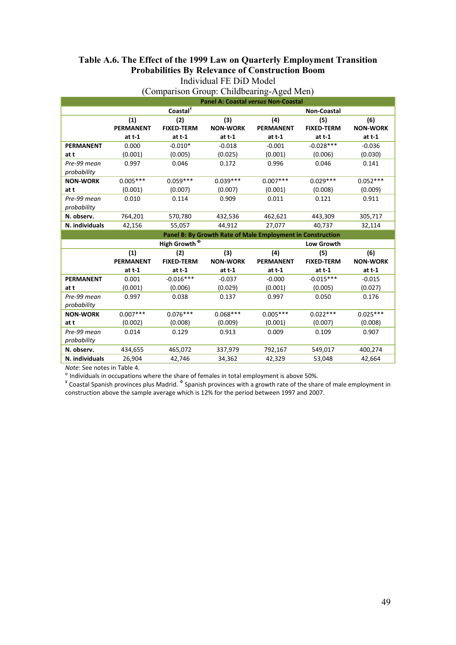#### **Table A.6. The Effect of the 1999 Law on Quarterly Employment Transition Probabilities By Relevance of Construction Boom**  Individual FE DiD Model

|                  | <b>Panel A: Coastal versus Non-Coastal</b> |                          |                 |                                                            |                    |                 |
|------------------|--------------------------------------------|--------------------------|-----------------|------------------------------------------------------------|--------------------|-----------------|
|                  |                                            | Coastal*                 |                 |                                                            | <b>Non-Coastal</b> |                 |
|                  | (1)                                        | (2)                      | (3)             | (4)                                                        | (5)                | (6)             |
|                  | <b>PERMANENT</b>                           | <b>FIXED-TERM</b>        | <b>NON-WORK</b> | <b>PERMANENT</b>                                           | <b>FIXED-TERM</b>  | <b>NON-WORK</b> |
|                  | at $t-1$                                   | at $t-1$                 | at $t-1$        | at $t-1$                                                   | $at t-1$           | $at t-1$        |
| <b>PERMANENT</b> | 0.000                                      | $-0.010*$                | $-0.018$        | $-0.001$                                                   | $-0.028***$        | $-0.036$        |
| at t             | (0.001)                                    | (0.005)                  | (0.025)         | (0.001)                                                    | (0.006)            | (0.030)         |
| Pre-99 mean      | 0.997                                      | 0.046                    | 0.172           | 0.996                                                      | 0.046              | 0.141           |
| probability      |                                            |                          |                 |                                                            |                    |                 |
| <b>NON-WORK</b>  | $0.005***$                                 | $0.059***$               | $0.039***$      | $0.007***$                                                 | $0.029***$         | $0.052***$      |
| at t             | (0.001)                                    | (0.007)                  | (0.007)         | (0.001)                                                    | (0.008)            | (0.009)         |
| Pre-99 mean      | 0.010                                      | 0.114                    | 0.909           | 0.011                                                      | 0.121              | 0.911           |
| probability      |                                            |                          |                 |                                                            |                    |                 |
| N. observ.       | 764,201                                    | 570,780                  | 432,536         | 462,621                                                    | 443,309            | 305,717         |
| N. individuals   | 42,156                                     | 55,057                   | 44,912          | 27,077                                                     | 40,737             | 32,114          |
|                  |                                            |                          |                 |                                                            |                    |                 |
|                  |                                            |                          |                 | Panel B: By Growth Rate of Male Employment in Construction |                    |                 |
|                  |                                            | High Growth <sup>®</sup> |                 |                                                            | <b>Low Growth</b>  |                 |
|                  | (1)                                        | (2)                      | (3)             | (4)                                                        | (5)                | (6)             |
|                  | <b>PERMANENT</b>                           | <b>FIXED-TERM</b>        | <b>NON-WORK</b> | <b>PERMANENT</b>                                           | <b>FIXED-TERM</b>  | <b>NON-WORK</b> |
|                  | at $t-1$                                   | at $t-1$                 | at $t-1$        | at $t-1$                                                   | at $t-1$           | at t-1          |
| <b>PERMANENT</b> | 0.001                                      | $-0.016***$              | $-0.037$        | $-0.000$                                                   | $-0.015***$        | $-0.015$        |
| at t             | (0.001)                                    | (0.006)                  | (0.029)         | (0.001)                                                    | (0.005)            | (0.027)         |
| Pre-99 mean      | 0.997                                      | 0.038                    | 0.137           | 0.997                                                      | 0.050              | 0.176           |
| probability      |                                            |                          |                 |                                                            |                    |                 |
| <b>NON-WORK</b>  | $0.007***$                                 | $0.076***$               | $0.068***$      | $0.005***$                                                 | $0.022***$         | $0.025***$      |
| at t             | (0.002)                                    | (0.008)                  | (0.009)         | (0.001)                                                    | (0.007)            | (0.008)         |
| Pre-99 mean      | 0.014                                      | 0.129                    | 0.913           | 0.009                                                      | 0.109              | 0.907           |
| probability      |                                            |                          |                 |                                                            |                    |                 |
| N. observ.       | 434,655                                    | 465,072                  | 337,979         | 792,167                                                    | 549,017            | 400,274         |

### (Comparison Group: Childbearing-Aged Men)

*Note*: See notes in Table 4.<br>
<sup>©</sup> Individuals in occupations where the share of females in total employment is above 50%.<br>
<sup>\*</sup> Coastal Spanish provinces plus Madrid. <sup>®</sup> Spanish provinces with a growth rate of the share construction above the sample average which is 12% for the period between 1997 and 2007.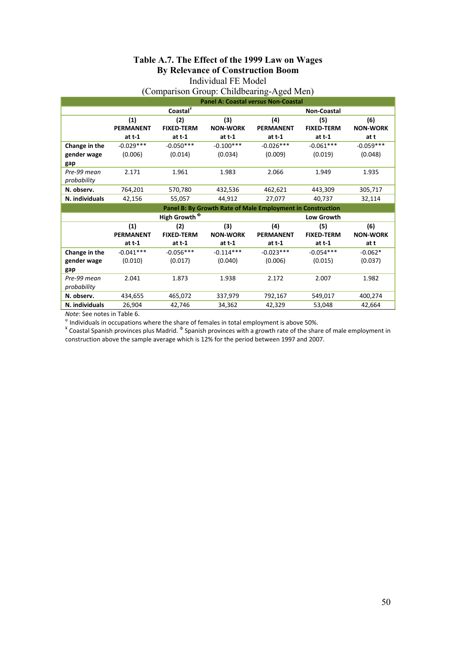#### **Table A.7. The Effect of the 1999 Law on Wages By Relevance of Construction Boom**  Individual FE Model

### (Comparison Group: Childbearing-Aged Men)

|                | <b>Panel A: Coastal versus Non-Coastal</b> |                          |                 |                                                            |                    |                 |
|----------------|--------------------------------------------|--------------------------|-----------------|------------------------------------------------------------|--------------------|-----------------|
|                |                                            | Coastal <sup>¥</sup>     |                 |                                                            | <b>Non-Coastal</b> |                 |
|                | (1)                                        | (2)                      | (3)             | (4)                                                        | (5)                | (6)             |
|                | <b>PERMANENT</b>                           | <b>FIXED-TERM</b>        | <b>NON-WORK</b> | <b>PERMANENT</b>                                           | <b>FIXED-TERM</b>  | <b>NON-WORK</b> |
|                | at $t-1$                                   | at $t-1$                 | at $t-1$        | at $t-1$                                                   | at $t-1$           | at t            |
| Change in the  | $-0.029***$                                | $-0.050***$              | $-0.100***$     | $-0.026***$                                                | $-0.061***$        | $-0.059***$     |
| gender wage    | (0.006)                                    | (0.014)                  | (0.034)         | (0.009)                                                    | (0.019)            | (0.048)         |
| gap            |                                            |                          |                 |                                                            |                    |                 |
| Pre-99 mean    | 2.171                                      | 1.961                    | 1.983           | 2.066                                                      | 1.949              | 1.935           |
| probability    |                                            |                          |                 |                                                            |                    |                 |
| N. observ.     | 764,201                                    | 570,780                  | 432,536         | 462,621                                                    | 443,309            | 305,717         |
| N. individuals | 42,156                                     | 55,057                   | 44,912          | 27,077                                                     | 40,737             | 32,114          |
|                |                                            |                          |                 | Panel B: By Growth Rate of Male Employment in Construction |                    |                 |
|                |                                            | High Growth <sup>®</sup> |                 |                                                            | <b>Low Growth</b>  |                 |
|                | (1)                                        | (2)                      | (3)             | (4)                                                        | (5)                | (6)             |
|                | <b>PERMANENT</b>                           | <b>FIXED-TERM</b>        | <b>NON-WORK</b> | <b>PERMANENT</b>                                           | <b>FIXED-TERM</b>  | <b>NON-WORK</b> |
|                | at $t-1$                                   | at $t-1$                 | at $t-1$        | at $t-1$                                                   | at $t-1$           | at t            |
| Change in the  | $-0.041***$                                | $-0.056***$              | $-0.114***$     | $-0.023***$                                                | $-0.054***$        | $-0.062*$       |
| gender wage    | (0.010)                                    | (0.017)                  | (0.040)         | (0.006)                                                    | (0.015)            | (0.037)         |
| gap            |                                            |                          |                 |                                                            |                    |                 |
|                |                                            |                          |                 |                                                            |                    |                 |
| Pre-99 mean    | 2.041                                      | 1.873                    | 1.938           | 2.172                                                      | 2.007              | 1.982           |
| probability    |                                            |                          |                 |                                                            |                    |                 |
| N. observ.     | 434,655                                    | 465,072                  | 337,979         | 792,167                                                    | 549,017            | 400,274         |

*Note:* See notes in Table 6.<br>® Individuals in occupations where the share of females in total employment is above 50%.<br><sup>¥</sup> Coastal Spanish provinces plus Madrid. <sup>®</sup> Spanish provinces with a growth rate of the share of ma construction above the sample average which is 12% for the period between 1997 and 2007.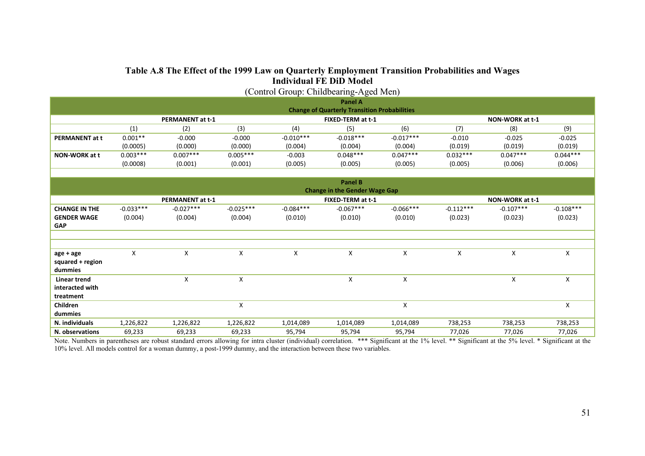# **Table A.8 The Effect of the 1999 Law on Quarterly Employment Transition Probabilities and Wages Individual FE DiD Model**  (Control Group: Childbearing-Aged Men)

| (Control Group: Childbearing-Aged Men) |                                              |                  |             |             |                                                     |                 |             |                 |             |
|----------------------------------------|----------------------------------------------|------------------|-------------|-------------|-----------------------------------------------------|-----------------|-------------|-----------------|-------------|
|                                        |                                              |                  |             |             | <b>Panel A</b>                                      |                 |             |                 |             |
|                                        |                                              |                  |             |             | <b>Change of Quarterly Transition Probabilities</b> |                 |             |                 |             |
|                                        | <b>PERMANENT at t-1</b><br>FIXED-TERM at t-1 |                  |             |             |                                                     | NON-WORK at t-1 |             |                 |             |
|                                        | (1)                                          | (2)              | (3)         | (4)         | (5)                                                 | (6)             | (7)         | (8)             | (9)         |
| <b>PERMANENT at t</b>                  | $0.001**$                                    | $-0.000$         | $-0.000$    | $-0.010***$ | $-0.018***$                                         | $-0.017***$     | $-0.010$    | $-0.025$        | $-0.025$    |
|                                        | (0.0005)                                     | (0.000)          | (0.000)     | (0.004)     | (0.004)                                             | (0.004)         | (0.019)     | (0.019)         | (0.019)     |
| <b>NON-WORK at t</b>                   | $0.003***$                                   | $0.007***$       | $0.005***$  | $-0.003$    | $0.048***$                                          | $0.047***$      | $0.032***$  | $0.047***$      | $0.044***$  |
|                                        | (0.0008)                                     | (0.001)          | (0.001)     | (0.005)     | (0.005)                                             | (0.005)         | (0.005)     | (0.006)         | (0.006)     |
|                                        |                                              |                  |             |             |                                                     |                 |             |                 |             |
|                                        |                                              |                  |             |             | <b>Panel B</b>                                      |                 |             |                 |             |
|                                        |                                              |                  |             |             | <b>Change in the Gender Wage Gap</b>                |                 |             |                 |             |
|                                        |                                              | PERMANENT at t-1 |             |             | FIXED-TERM at t-1                                   |                 |             | NON-WORK at t-1 |             |
| <b>CHANGE IN THE</b>                   | $-0.033***$                                  | $-0.027***$      | $-0.025***$ | $-0.084***$ | $-0.067***$                                         | $-0.066***$     | $-0.112***$ | $-0.107***$     | $-0.108***$ |
| <b>GENDER WAGE</b>                     | (0.004)                                      | (0.004)          | (0.004)     | (0.010)     | (0.010)                                             | (0.010)         | (0.023)     | (0.023)         | (0.023)     |
| <b>GAP</b>                             |                                              |                  |             |             |                                                     |                 |             |                 |             |
|                                        |                                              |                  |             |             |                                                     |                 |             |                 |             |
|                                        |                                              |                  |             |             |                                                     |                 |             |                 |             |
| age + age                              | X                                            | X                | X           | X           | X                                                   | X               | X           | X               | X           |
| squared + region                       |                                              |                  |             |             |                                                     |                 |             |                 |             |
| dummies                                |                                              |                  |             |             |                                                     |                 |             |                 |             |
| <b>Linear trend</b>                    |                                              | X                | X           |             | X                                                   | X               |             | X               | X           |
| interacted with                        |                                              |                  |             |             |                                                     |                 |             |                 |             |
| treatment                              |                                              |                  |             |             |                                                     |                 |             |                 |             |
| Children                               |                                              |                  | X           |             |                                                     | X               |             |                 | X           |
| dummies                                |                                              |                  |             |             |                                                     |                 |             |                 |             |
| N. individuals                         | 1,226,822                                    | 1,226,822        | 1,226,822   | 1,014,089   | 1,014,089                                           | 1,014,089       | 738,253     | 738,253         | 738,253     |
| N. observations                        | 69,233                                       | 69,233           | 69,233      | 95,794      | 95,794                                              | 95,794          | 77,026      | 77,026          | 77,026      |

Note. Numbers in parentheses are robust standard errors allowing for intra cluster (individual) correlation. \*\*\* Significant at the 1% level. \*\* Significant at the 5% level. \* Significant at the 5% level. \* Significant at 10% level. All models control for a woman dummy, a post-1999 dummy, and the interaction between these two variables.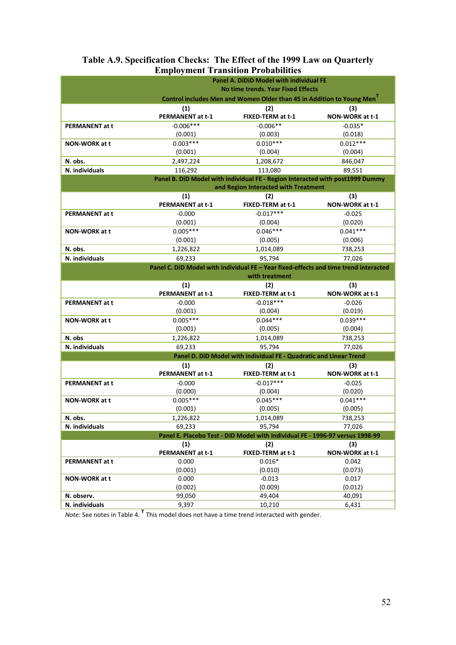|                           | <b>Employment Transition Probabilities</b> |                                                                                      |                        |
|---------------------------|--------------------------------------------|--------------------------------------------------------------------------------------|------------------------|
|                           |                                            | <b>Panel A. DiDiD Model with individual FE</b>                                       |                        |
|                           |                                            | <b>No time trends. Year Fixed Effects</b>                                            |                        |
|                           |                                            | Control includes Men and Women Older than 45 in Addition to Young Men <sup>Y</sup>   |                        |
|                           | (1)                                        | (2)                                                                                  | (3)                    |
|                           | <b>PERMANENT at t-1</b>                    | FIXED-TERM at t-1                                                                    | NON-WORK at t-1        |
| <b>PERMANENT at t</b>     | $-0.006***$                                | $-0.006**$                                                                           | $-0.035*$              |
|                           | (0.001)                                    | (0.003)                                                                              | (0.018)                |
| <b>NON-WORK at t</b>      | $0.003***$                                 | $0.010***$                                                                           | $0.012***$             |
|                           | (0.001)                                    | (0.004)                                                                              | (0.004)                |
| N. obs.                   | 2,497,224                                  | 1,208,672                                                                            | 846,047                |
| N. individuals            | 116,292                                    | 113,080                                                                              | 89,551                 |
|                           |                                            | Panel B. DiD Model with individual FE - Region Interacted with post1999 Dummy        |                        |
|                           |                                            | and Region Interacted with Treatment                                                 |                        |
|                           | (1)<br>PERMANENT at t-1                    | (2)<br>FIXED-TERM at t-1                                                             | (3)<br>NON-WORK at t-1 |
| <b>PERMANENT at t</b>     | $-0.000$                                   | $-0.017***$                                                                          | $-0.025$               |
|                           | (0.001)                                    | (0.004)                                                                              | (0.020)                |
| <b>NON-WORK at t</b>      | $0.005***$                                 | $0.046***$                                                                           | $0.041***$             |
|                           | (0.001)                                    | (0.005)                                                                              | (0.006)                |
| N. obs.                   | 1,226,822                                  | 1,014,089                                                                            | 738,253                |
| N. individuals            | 69,233                                     | 95,794                                                                               | 77,026                 |
|                           |                                            | Panel C. DiD Model with individual FE - Year fixed-effects and time trend interacted |                        |
|                           |                                            | with treatment                                                                       |                        |
|                           | (1)                                        | (2)                                                                                  | (3)                    |
|                           | PERMANENT at t-1                           | FIXED-TERM at t-1                                                                    | NON-WORK at t-1        |
| <b>PERMANENT at t</b>     | $-0.000$                                   | $-0.018***$                                                                          | $-0.026$               |
|                           | (0.001)                                    | (0.004)                                                                              | (0.019)                |
| <b>NON-WORK at t</b>      | $0.005***$                                 | $0.044***$                                                                           | $0.039***$             |
|                           | (0.001)                                    | (0.005)                                                                              | (0.004)                |
| N. obs                    | 1,226,822                                  | 1,014,089                                                                            | 738,253                |
| N. individuals            | 69,233                                     | 95,794                                                                               | 77,026                 |
|                           |                                            | Panel D. DiD Model with individual FE - Quadratic and Linear Trend                   |                        |
|                           | (1)                                        | (2)                                                                                  | (3)                    |
|                           | PERMANENT at t-1                           | FIXED-TERM at t-1                                                                    | NON-WORK at t-1        |
| <b>PERMANENT at t</b>     | $-0.000$                                   | $-0.017***$                                                                          | $-0.025$               |
|                           | (0.000)<br>$0.005***$                      | (0.004)                                                                              | (0.020)                |
| <b>NON-WORK at t</b>      |                                            | $0.045***$                                                                           | $0.041***$             |
|                           | (0.001)                                    | (0.005)                                                                              | (0.005)                |
| N. obs.<br>N. individuals | 1,226,822                                  | 1,014,089<br>95,794                                                                  | 738,253                |
|                           | 69,233                                     | Panel E. Placebo Test - DiD Model with individual FE - 1996-97 versus 1998-99        | 77,026                 |
|                           | (1)                                        | (2)                                                                                  | (3)                    |
|                           | <b>PERMANENT at t-1</b>                    | FIXED-TERM at t-1                                                                    | NON-WORK at t-1        |
| PERMANENT at t            | 0.000                                      | $0.016*$                                                                             | 0.042                  |
|                           | (0.001)                                    | (0.010)                                                                              | (0.073)                |
| NON-WORK at t             | 0.000                                      | $-0.013$                                                                             | 0.017                  |
|                           | (0.002)                                    | (0.009)                                                                              | (0.012)                |
| N. observ.                | 99,050                                     | 49,404                                                                               | 40,091                 |
| N. individuals            | 9,397                                      | 10,210                                                                               | 6,431                  |

### **Table A.9. Specification Checks: The Effect of the 1999 Law on Quarterly Employment Transition Probabilities**

*Note:* See notes in Table 4. **<sup>ϒ</sup>** This model does not have a time trend interacted with gender.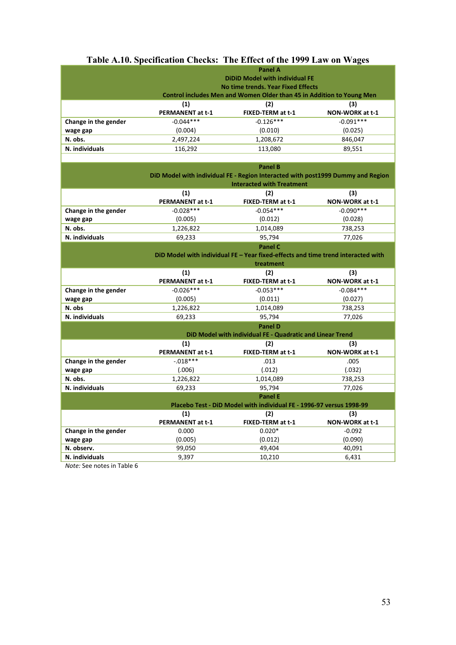# **Table A.10. Specification Checks: The Effect of the 1999 Law on Wages**

|                                  | <b>Panel A</b><br><b>DiDiD Model with individual FE</b><br>No time trends. Year Fixed Effects<br>Control includes Men and Women Older than 45 in Addition to Young Men |                          |                        |  |  |
|----------------------------------|------------------------------------------------------------------------------------------------------------------------------------------------------------------------|--------------------------|------------------------|--|--|
|                                  | (1)<br><b>PERMANENT at t-1</b>                                                                                                                                         | (2)<br>FIXED-TERM at t-1 | (3)<br>NON-WORK at t-1 |  |  |
| Change in the gender<br>wage gap | $-0.044***$<br>(0.004)                                                                                                                                                 | $-0.126***$<br>(0.010)   | $-0.091***$<br>(0.025) |  |  |
| N. obs.                          | 2,497,224                                                                                                                                                              | 1,208,672                | 846,047                |  |  |
| N. individuals                   | 116,292                                                                                                                                                                | 113,080                  | 89,551                 |  |  |

|                      | <b>Panel B</b>          |                                                                                  |                 |  |
|----------------------|-------------------------|----------------------------------------------------------------------------------|-----------------|--|
|                      |                         | DiD Model with individual FE - Region Interacted with post1999 Dummy and Region  |                 |  |
|                      |                         | <b>Interacted with Treatment</b>                                                 |                 |  |
|                      | (1)                     | (2)                                                                              | (3)             |  |
|                      | <b>PERMANENT at t-1</b> | FIXED-TERM at t-1                                                                | NON-WORK at t-1 |  |
| Change in the gender | $-0.028***$             | $-0.054***$                                                                      | $-0.090***$     |  |
| wage gap             | (0.005)                 | (0.012)                                                                          | (0.028)         |  |
| N. obs.              | 1,226,822               | 1,014,089                                                                        | 738,253         |  |
| N. individuals       | 69,233                  | 95,794                                                                           | 77,026          |  |
|                      |                         | <b>Panel C</b>                                                                   |                 |  |
|                      |                         | DiD Model with individual FE - Year fixed-effects and time trend interacted with |                 |  |
|                      |                         | treatment                                                                        |                 |  |
|                      | (1)                     | (2)                                                                              | (3)             |  |
|                      | <b>PERMANENT at t-1</b> | FIXED-TERM at t-1                                                                | NON-WORK at t-1 |  |
| Change in the gender | $-0.026***$             | $-0.053***$                                                                      | $-0.084***$     |  |
| wage gap             | (0.005)                 | (0.011)                                                                          | (0.027)         |  |
| N. obs               | 1,226,822               | 1,014,089                                                                        | 738,253         |  |
| N. individuals       | 69,233                  | 95,794                                                                           | 77,026          |  |
|                      |                         | <b>Panel D</b>                                                                   |                 |  |
|                      |                         | DiD Model with individual FE - Quadratic and Linear Trend                        |                 |  |
|                      | (1)                     | (2)                                                                              | (3)             |  |
|                      | <b>PERMANENT at t-1</b> | FIXED-TERM at t-1                                                                | NON-WORK at t-1 |  |
| Change in the gender | $-.018***$              | .013                                                                             | .005            |  |
| wage gap             | (.006)                  | (.012)                                                                           | (.032)          |  |
| N. obs.              | 1,226,822               | 1,014,089                                                                        | 738,253         |  |
| N. individuals       | 69,233                  | 95,794                                                                           | 77,026          |  |
|                      |                         | <b>Panel E</b>                                                                   |                 |  |
|                      |                         | Placebo Test - DiD Model with individual FE - 1996-97 versus 1998-99             |                 |  |
|                      | (1)                     | (2)                                                                              | (3)             |  |
|                      | PERMANENT at t-1        | FIXED-TERM at t-1                                                                | NON-WORK at t-1 |  |
| Change in the gender | 0.000                   | $0.020*$                                                                         | $-0.092$        |  |
| wage gap             | (0.005)                 | (0.012)                                                                          | (0.090)         |  |
| N. observ.           | 99,050                  | 49,404                                                                           | 40,091          |  |
| N. individuals       | 9,397                   | 10,210                                                                           | 6,431           |  |

*Note:* See notes in Table 6